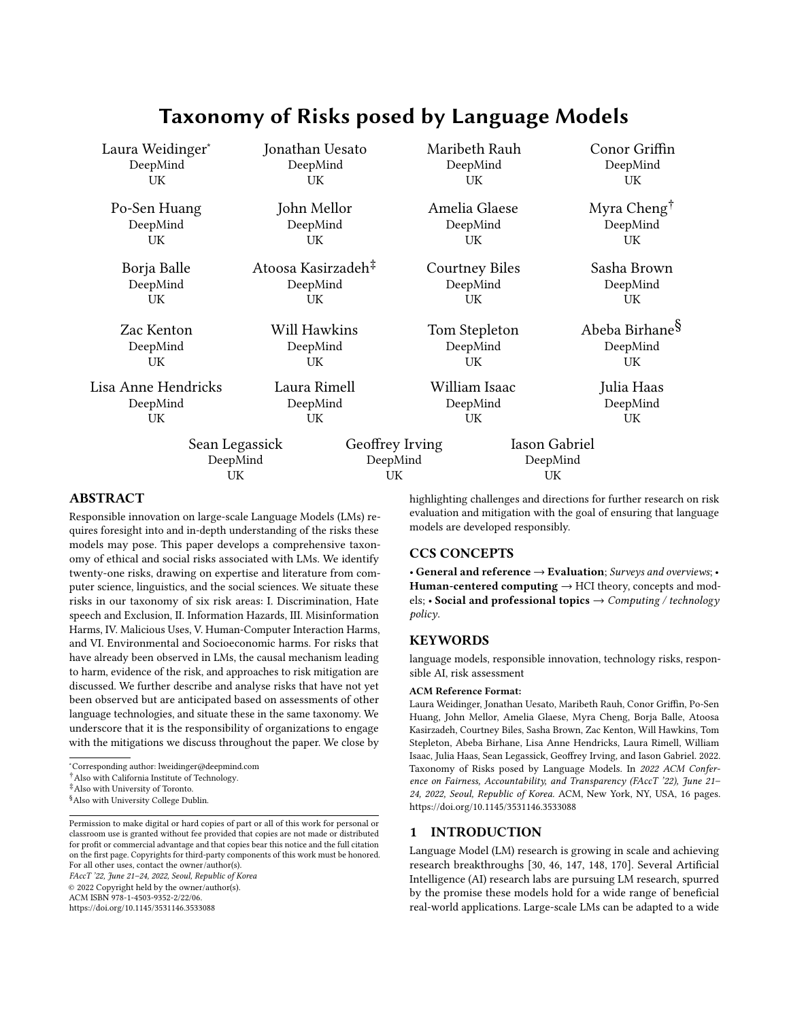| Laura Weidinger*                 | Jonathan Uesato                | Maribeth Rauh                                                        | Conor Griffin              |
|----------------------------------|--------------------------------|----------------------------------------------------------------------|----------------------------|
| DeepMind                         | DeepMind                       | DeepMind                                                             | DeepMind                   |
| UK                               | UK                             | UK                                                                   | UK.                        |
| Po-Sen Huang                     | John Mellor                    | Amelia Glaese                                                        | Myra Cheng <sup>†</sup>    |
| DeepMind                         | DeepMind                       | DeepMind                                                             | DeepMind                   |
| UK                               | UK                             | UK                                                                   | <b>UK</b>                  |
| Borja Balle                      | Atoosa Kasirzadeh <sup>‡</sup> | <b>Courtney Biles</b>                                                | Sasha Brown                |
| DeepMind                         | DeepMind                       | DeepMind                                                             | DeepMind                   |
| UK                               | UK.                            | UK                                                                   | UK.                        |
| Zac Kenton                       | Will Hawkins                   | Tom Stepleton                                                        | Abeba Birhane <sup>§</sup> |
| DeepMind                         | DeepMind                       | DeepMind                                                             | DeepMind                   |
| UK                               | UK                             | UK                                                                   | UK                         |
| Lisa Anne Hendricks              | Laura Rimell                   | William Isaac                                                        | Julia Haas                 |
| DeepMind                         | DeepMind                       | DeepMind                                                             | DeepMind                   |
| UK                               | UK                             | UK                                                                   | UK.                        |
| Sean Legassick<br>DeepMind<br>UK |                                | Iason Gabriel<br>Geoffrey Irving<br>DeepMind<br>DeepMind<br>UK<br>UK |                            |

# Taxonomy of Risks posed by Language Models

### ABSTRACT

Responsible innovation on large-scale Language Models (LMs) requires foresight into and in-depth understanding of the risks these models may pose. This paper develops a comprehensive taxonomy of ethical and social risks associated with LMs. We identify twenty-one risks, drawing on expertise and literature from computer science, linguistics, and the social sciences. We situate these risks in our taxonomy of six risk areas: I. Discrimination, Hate speech and Exclusion, II. Information Hazards, III. Misinformation Harms, IV. Malicious Uses, V. Human-Computer Interaction Harms, and VI. Environmental and Socioeconomic harms. For risks that have already been observed in LMs, the causal mechanism leading to harm, evidence of the risk, and approaches to risk mitigation are discussed. We further describe and analyse risks that have not yet been observed but are anticipated based on assessments of other language technologies, and situate these in the same taxonomy. We underscore that it is the responsibility of organizations to engage with the mitigations we discuss throughout the paper. We close by

§Also with University College Dublin.

FAccT '22, June 21–24, 2022, Seoul, Republic of Korea

© 2022 Copyright held by the owner/author(s).

ACM ISBN 978-1-4503-9352-2/22/06.

<https://doi.org/10.1145/3531146.3533088>

highlighting challenges and directions for further research on risk evaluation and mitigation with the goal of ensuring that language models are developed responsibly.

# CCS CONCEPTS

• General and reference → Evaluation; Surveys and overviews; • Human-centered computing  $\rightarrow$  HCI theory, concepts and models; • Social and professional topics  $\rightarrow$  Computing / technology policy.

### **KEYWORDS**

language models, responsible innovation, technology risks, responsible AI, risk assessment

#### ACM Reference Format:

Laura Weidinger, Jonathan Uesato, Maribeth Rauh, Conor Griffin, Po-Sen Huang, John Mellor, Amelia Glaese, Myra Cheng, Borja Balle, Atoosa Kasirzadeh, Courtney Biles, Sasha Brown, Zac Kenton, Will Hawkins, Tom Stepleton, Abeba Birhane, Lisa Anne Hendricks, Laura Rimell, William Isaac, Julia Haas, Sean Legassick, Geoffrey Irving, and Iason Gabriel. 2022. Taxonomy of Risks posed by Language Models. In 2022 ACM Conference on Fairness, Accountability, and Transparency (FAccT '22), June 21-24, 2022, Seoul, Republic of Korea. ACM, New York, NY, USA, [16](#page-15-0) pages. <https://doi.org/10.1145/3531146.3533088>

### 1 INTRODUCTION

Language Model (LM) research is growing in scale and achieving research breakthroughs [\[30,](#page-9-0) [46,](#page-10-0) [147,](#page-12-0) [148,](#page-12-1) [170\]](#page-13-0). Several Artificial Intelligence (AI) research labs are pursuing LM research, spurred by the promise these models hold for a wide range of beneficial real-world applications. Large-scale LMs can be adapted to a wide

<sup>∗</sup>Corresponding author: lweidinger@deepmind.com

<sup>†</sup>Also with California Institute of Technology.

<sup>‡</sup>Also with University of Toronto.

Permission to make digital or hard copies of part or all of this work for personal or classroom use is granted without fee provided that copies are not made or distributed for profit or commercial advantage and that copies bear this notice and the full citation on the first page. Copyrights for third-party components of this work must be honored. For all other uses, contact the owner/author(s).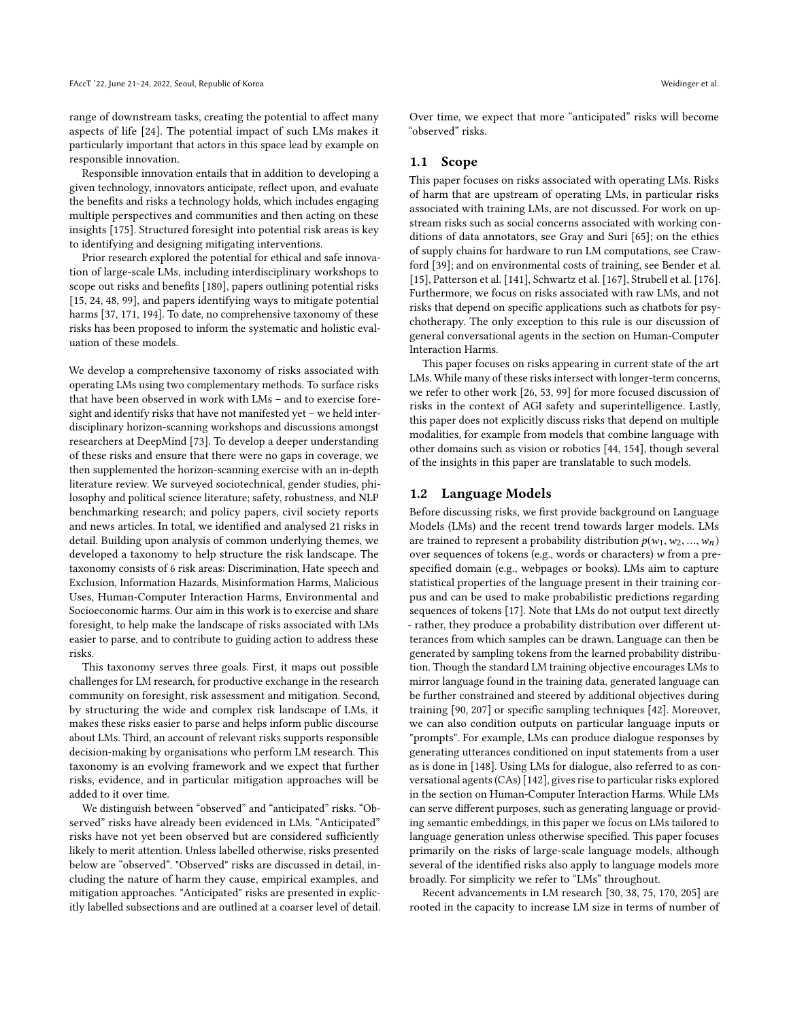range of downstream tasks, creating the potential to affect many aspects of life [\[24\]](#page-9-1). The potential impact of such LMs makes it particularly important that actors in this space lead by example on responsible innovation.

Responsible innovation entails that in addition to developing a given technology, innovators anticipate, reflect upon, and evaluate the benefits and risks a technology holds, which includes engaging multiple perspectives and communities and then acting on these insights [\[175\]](#page-13-1). Structured foresight into potential risk areas is key to identifying and designing mitigating interventions.

Prior research explored the potential for ethical and safe innovation of large-scale LMs, including interdisciplinary workshops to scope out risks and benefits [\[180\]](#page-13-2), papers outlining potential risks [\[15,](#page-9-2) [24,](#page-9-1) [48,](#page-10-1) [99\]](#page-11-0), and papers identifying ways to mitigate potential harms [\[37,](#page-10-2) [171,](#page-13-3) [194\]](#page-13-4). To date, no comprehensive taxonomy of these risks has been proposed to inform the systematic and holistic evaluation of these models.

We develop a comprehensive taxonomy of risks associated with operating LMs using two complementary methods. To surface risks that have been observed in work with LMs – and to exercise foresight and identify risks that have not manifested yet – we held interdisciplinary horizon-scanning workshops and discussions amongst researchers at DeepMind [\[73\]](#page-10-3). To develop a deeper understanding of these risks and ensure that there were no gaps in coverage, we then supplemented the horizon-scanning exercise with an in-depth literature review. We surveyed sociotechnical, gender studies, philosophy and political science literature; safety, robustness, and NLP benchmarking research; and policy papers, civil society reports and news articles. In total, we identified and analysed 21 risks in detail. Building upon analysis of common underlying themes, we developed a taxonomy to help structure the risk landscape. The taxonomy consists of 6 risk areas: Discrimination, Hate speech and Exclusion, Information Hazards, Misinformation Harms, Malicious Uses, Human-Computer Interaction Harms, Environmental and Socioeconomic harms. Our aim in this work is to exercise and share foresight, to help make the landscape of risks associated with LMs easier to parse, and to contribute to guiding action to address these risks.

This taxonomy serves three goals. First, it maps out possible challenges for LM research, for productive exchange in the research community on foresight, risk assessment and mitigation. Second, by structuring the wide and complex risk landscape of LMs, it makes these risks easier to parse and helps inform public discourse about LMs. Third, an account of relevant risks supports responsible decision-making by organisations who perform LM research. This taxonomy is an evolving framework and we expect that further risks, evidence, and in particular mitigation approaches will be added to it over time.

We distinguish between "observed" and "anticipated" risks. "Observed" risks have already been evidenced in LMs. "Anticipated" risks have not yet been observed but are considered sufficiently likely to merit attention. Unless labelled otherwise, risks presented below are "observed". "Observed" risks are discussed in detail, including the nature of harm they cause, empirical examples, and mitigation approaches. "Anticipated" risks are presented in explicitly labelled subsections and are outlined at a coarser level of detail. Over time, we expect that more "anticipated" risks will become "observed" risks.

### 1.1 Scope

This paper focuses on risks associated with operating LMs. Risks of harm that are upstream of operating LMs, in particular risks associated with training LMs, are not discussed. For work on upstream risks such as social concerns associated with working conditions of data annotators, see Gray and Suri [\[65\]](#page-10-4); on the ethics of supply chains for hardware to run LM computations, see Crawford [\[39\]](#page-10-5); and on environmental costs of training, see Bender et al. [\[15\]](#page-9-2), Patterson et al. [\[141\]](#page-12-2), Schwartz et al. [\[167\]](#page-13-5), Strubell et al. [\[176\]](#page-13-6). Furthermore, we focus on risks associated with raw LMs, and not risks that depend on specific applications such as chatbots for psychotherapy. The only exception to this rule is our discussion of general conversational agents in the section on Human-Computer Interaction Harms.

This paper focuses on risks appearing in current state of the art LMs. While many of these risks intersect with longer-term concerns, we refer to other work [\[26,](#page-9-3) [53,](#page-10-6) [99\]](#page-11-0) for more focused discussion of risks in the context of AGI safety and superintelligence. Lastly, this paper does not explicitly discuss risks that depend on multiple modalities, for example from models that combine language with other domains such as vision or robotics [\[44,](#page-10-7) [154\]](#page-13-7), though several of the insights in this paper are translatable to such models.

### 1.2 Language Models

Before discussing risks, we first provide background on Language Models (LMs) and the recent trend towards larger models. LMs are trained to represent a probability distribution  $p(w_1, w_2, ..., w_n)$ over sequences of tokens (e.g., words or characters) w from a prespecified domain (e.g., webpages or books). LMs aim to capture statistical properties of the language present in their training corpus and can be used to make probabilistic predictions regarding sequences of tokens [\[17\]](#page-9-4). Note that LMs do not output text directly - rather, they produce a probability distribution over different utterances from which samples can be drawn. Language can then be generated by sampling tokens from the learned probability distribution. Though the standard LM training objective encourages LMs to mirror language found in the training data, generated language can be further constrained and steered by additional objectives during training [\[90,](#page-11-1) [207\]](#page-14-0) or specific sampling techniques [\[42\]](#page-10-8). Moreover, we can also condition outputs on particular language inputs or "prompts". For example, LMs can produce dialogue responses by generating utterances conditioned on input statements from a user as is done in [\[148\]](#page-12-1). Using LMs for dialogue, also referred to as conversational agents (CAs) [\[142\]](#page-12-3), gives rise to particular risks explored in the section on Human-Computer Interaction Harms. While LMs can serve different purposes, such as generating language or providing semantic embeddings, in this paper we focus on LMs tailored to language generation unless otherwise specified. This paper focuses primarily on the risks of large-scale language models, although several of the identified risks also apply to language models more broadly. For simplicity we refer to "LMs" throughout.

Recent advancements in LM research [\[30,](#page-9-0) [38,](#page-10-9) [75,](#page-11-2) [170,](#page-13-0) [205\]](#page-14-1) are rooted in the capacity to increase LM size in terms of number of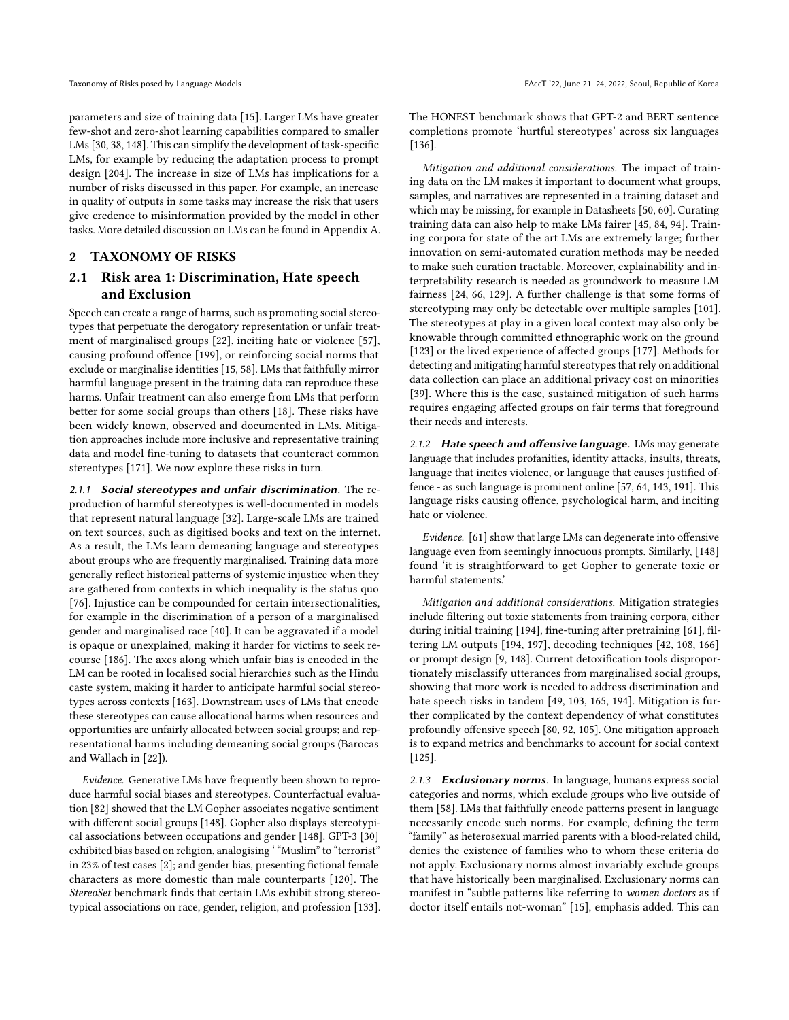parameters and size of training data [\[15\]](#page-9-2). Larger LMs have greater few-shot and zero-shot learning capabilities compared to smaller LMs [\[30,](#page-9-0) [38,](#page-10-9) [148\]](#page-12-1). This can simplify the development of task-specific LMs, for example by reducing the adaptation process to prompt design [\[204\]](#page-14-2). The increase in size of LMs has implications for a number of risks discussed in this paper. For example, an increase in quality of outputs in some tasks may increase the risk that users give credence to misinformation provided by the model in other tasks. More detailed discussion on LMs can be found in [Appendix A.](#page-14-3)

### 2 TAXONOMY OF RISKS

# 2.1 Risk area 1: Discrimination, Hate speech and Exclusion

Speech can create a range of harms, such as promoting social stereotypes that perpetuate the derogatory representation or unfair treatment of marginalised groups [\[22\]](#page-9-5), inciting hate or violence [\[57\]](#page-10-10), causing profound offence [\[199\]](#page-13-8), or reinforcing social norms that exclude or marginalise identities [\[15,](#page-9-2) [58\]](#page-10-11). LMs that faithfully mirror harmful language present in the training data can reproduce these harms. Unfair treatment can also emerge from LMs that perform better for some social groups than others [\[18\]](#page-9-6). These risks have been widely known, observed and documented in LMs. Mitigation approaches include more inclusive and representative training data and model fine-tuning to datasets that counteract common stereotypes [\[171\]](#page-13-3). We now explore these risks in turn.

2.1.1 Social stereotypes and unfair discrimination. The reproduction of harmful stereotypes is well-documented in models that represent natural language [\[32\]](#page-9-7). Large-scale LMs are trained on text sources, such as digitised books and text on the internet. As a result, the LMs learn demeaning language and stereotypes about groups who are frequently marginalised. Training data more generally reflect historical patterns of systemic injustice when they are gathered from contexts in which inequality is the status quo [\[76\]](#page-11-3). Injustice can be compounded for certain intersectionalities, for example in the discrimination of a person of a marginalised gender and marginalised race [\[40\]](#page-10-12). It can be aggravated if a model is opaque or unexplained, making it harder for victims to seek recourse [\[186\]](#page-13-9). The axes along which unfair bias is encoded in the LM can be rooted in localised social hierarchies such as the Hindu caste system, making it harder to anticipate harmful social stereotypes across contexts [\[163\]](#page-13-10). Downstream uses of LMs that encode these stereotypes can cause allocational harms when resources and opportunities are unfairly allocated between social groups; and representational harms including demeaning social groups (Barocas and Wallach in [\[22\]](#page-9-5)).

Evidence. Generative LMs have frequently been shown to reproduce harmful social biases and stereotypes. Counterfactual evaluation [\[82\]](#page-11-4) showed that the LM Gopher associates negative sentiment with different social groups [\[148\]](#page-12-1). Gopher also displays stereotypical associations between occupations and gender [\[148\]](#page-12-1). GPT-3 [\[30\]](#page-9-0) exhibited bias based on religion, analogising ' "Muslim" to "terrorist" in 23% of test cases [\[2\]](#page-8-0); and gender bias, presenting fictional female characters as more domestic than male counterparts [\[120\]](#page-12-4). The StereoSet benchmark finds that certain LMs exhibit strong stereotypical associations on race, gender, religion, and profession [\[133\]](#page-12-5).

The HONEST benchmark shows that GPT-2 and BERT sentence completions promote 'hurtful stereotypes' across six languages [\[136\]](#page-12-6).

Mitigation and additional considerations. The impact of training data on the LM makes it important to document what groups, samples, and narratives are represented in a training dataset and which may be missing, for example in Datasheets [\[50,](#page-10-13) [60\]](#page-10-14). Curating training data can also help to make LMs fairer [\[45,](#page-10-15) [84,](#page-11-5) [94\]](#page-11-6). Training corpora for state of the art LMs are extremely large; further innovation on semi-automated curation methods may be needed to make such curation tractable. Moreover, explainability and interpretability research is needed as groundwork to measure LM fairness [\[24,](#page-9-1) [66,](#page-10-16) [129\]](#page-12-7). A further challenge is that some forms of stereotyping may only be detectable over multiple samples [\[101\]](#page-11-7). The stereotypes at play in a given local context may also only be knowable through committed ethnographic work on the ground [\[123\]](#page-12-8) or the lived experience of affected groups [\[177\]](#page-13-11). Methods for detecting and mitigating harmful stereotypes that rely on additional data collection can place an additional privacy cost on minorities [\[39\]](#page-10-5). Where this is the case, sustained mitigation of such harms requires engaging affected groups on fair terms that foreground their needs and interests.

2.1.2 Hate speech and offensive language. LMs may generate language that includes profanities, identity attacks, insults, threats, language that incites violence, or language that causes justified offence - as such language is prominent online [\[57,](#page-10-10) [64,](#page-10-17) [143,](#page-12-9) [191\]](#page-13-12). This language risks causing offence, psychological harm, and inciting hate or violence.

Evidence. [\[61\]](#page-10-18) show that large LMs can degenerate into offensive language even from seemingly innocuous prompts. Similarly, [\[148\]](#page-12-1) found 'it is straightforward to get Gopher to generate toxic or harmful statements.'

Mitigation and additional considerations. Mitigation strategies include filtering out toxic statements from training corpora, either during initial training [\[194\]](#page-13-4), fine-tuning after pretraining [\[61\]](#page-10-18), filtering LM outputs [\[194,](#page-13-4) [197\]](#page-13-13), decoding techniques [\[42,](#page-10-8) [108,](#page-11-8) [166\]](#page-13-14) or prompt design [\[9,](#page-9-8) [148\]](#page-12-1). Current detoxification tools disproportionately misclassify utterances from marginalised social groups, showing that more work is needed to address discrimination and hate speech risks in tandem [\[49,](#page-10-19) [103,](#page-11-9) [165,](#page-13-15) [194\]](#page-13-4). Mitigation is further complicated by the context dependency of what constitutes profoundly offensive speech [\[80,](#page-11-10) [92,](#page-11-11) [105\]](#page-11-12). One mitigation approach is to expand metrics and benchmarks to account for social context [\[125\]](#page-12-10).

2.1.3 Exclusionary norms. In language, humans express social categories and norms, which exclude groups who live outside of them [\[58\]](#page-10-11). LMs that faithfully encode patterns present in language necessarily encode such norms. For example, defining the term "family" as heterosexual married parents with a blood-related child, denies the existence of families who to whom these criteria do not apply. Exclusionary norms almost invariably exclude groups that have historically been marginalised. Exclusionary norms can manifest in "subtle patterns like referring to women doctors as if doctor itself entails not-woman" [\[15\]](#page-9-2), emphasis added. This can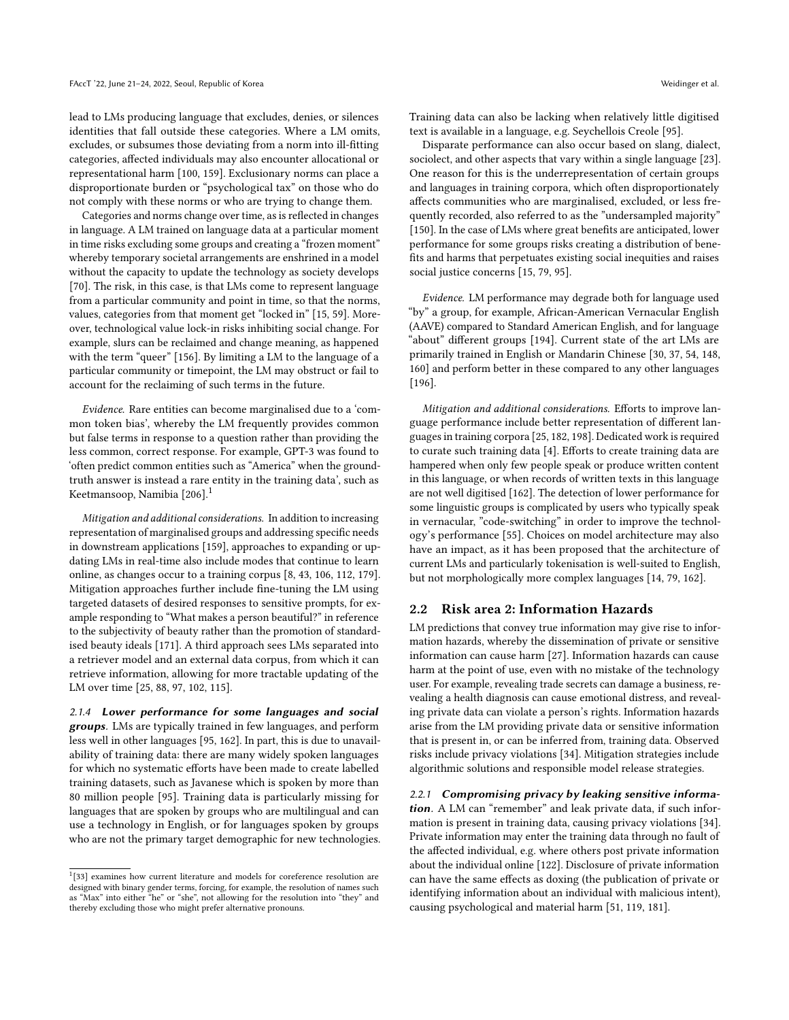lead to LMs producing language that excludes, denies, or silences identities that fall outside these categories. Where a LM omits, excludes, or subsumes those deviating from a norm into ill-fitting categories, affected individuals may also encounter allocational or representational harm [\[100,](#page-11-13) [159\]](#page-13-16). Exclusionary norms can place a disproportionate burden or "psychological tax" on those who do not comply with these norms or who are trying to change them.

Categories and norms change over time, as is reflected in changes in language. A LM trained on language data at a particular moment in time risks excluding some groups and creating a "frozen moment" whereby temporary societal arrangements are enshrined in a model without the capacity to update the technology as society develops [\[70\]](#page-10-20). The risk, in this case, is that LMs come to represent language from a particular community and point in time, so that the norms, values, categories from that moment get "locked in" [\[15,](#page-9-2) [59\]](#page-10-21). Moreover, technological value lock-in risks inhibiting social change. For example, slurs can be reclaimed and change meaning, as happened with the term "queer" [\[156\]](#page-13-17). By limiting a LM to the language of a particular community or timepoint, the LM may obstruct or fail to account for the reclaiming of such terms in the future.

Evidence. Rare entities can become marginalised due to a 'common token bias', whereby the LM frequently provides common but false terms in response to a question rather than providing the less common, correct response. For example, GPT-3 was found to 'often predict common entities such as "America" when the groundtruth answer is instead a rare entity in the training data', such as Keetmansoop, Namibia [\[206\]](#page-14-4).<sup>[1](#page-3-0)</sup>

Mitigation and additional considerations. In addition to increasing representation of marginalised groups and addressing specific needs in downstream applications [\[159\]](#page-13-16), approaches to expanding or updating LMs in real-time also include modes that continue to learn online, as changes occur to a training corpus [\[8,](#page-9-9) [43,](#page-10-22) [106,](#page-11-14) [112,](#page-11-15) [179\]](#page-13-18). Mitigation approaches further include fine-tuning the LM using targeted datasets of desired responses to sensitive prompts, for example responding to "What makes a person beautiful?" in reference to the subjectivity of beauty rather than the promotion of standardised beauty ideals [\[171\]](#page-13-3). A third approach sees LMs separated into a retriever model and an external data corpus, from which it can retrieve information, allowing for more tractable updating of the LM over time [\[25,](#page-9-10) [88,](#page-11-16) [97,](#page-11-17) [102,](#page-11-18) [115\]](#page-11-19).

2.1.4 Lower performance for some languages and social groups. LMs are typically trained in few languages, and perform less well in other languages [\[95,](#page-11-20) [162\]](#page-13-19). In part, this is due to unavailability of training data: there are many widely spoken languages for which no systematic efforts have been made to create labelled training datasets, such as Javanese which is spoken by more than 80 million people [\[95\]](#page-11-20). Training data is particularly missing for languages that are spoken by groups who are multilingual and can use a technology in English, or for languages spoken by groups who are not the primary target demographic for new technologies.

Training data can also be lacking when relatively little digitised text is available in a language, e.g. Seychellois Creole [\[95\]](#page-11-20).

Disparate performance can also occur based on slang, dialect, sociolect, and other aspects that vary within a single language [\[23\]](#page-9-12). One reason for this is the underrepresentation of certain groups and languages in training corpora, which often disproportionately affects communities who are marginalised, excluded, or less frequently recorded, also referred to as the "undersampled majority" [\[150\]](#page-12-11). In the case of LMs where great benefits are anticipated, lower performance for some groups risks creating a distribution of benefits and harms that perpetuates existing social inequities and raises social justice concerns [\[15,](#page-9-2) [79,](#page-11-21) [95\]](#page-11-20).

Evidence. LM performance may degrade both for language used "by" a group, for example, African-American Vernacular English (AAVE) compared to Standard American English, and for language "about" different groups [\[194\]](#page-13-4). Current state of the art LMs are primarily trained in English or Mandarin Chinese [\[30,](#page-9-0) [37,](#page-10-2) [54,](#page-10-23) [148,](#page-12-1) [160\]](#page-13-20) and perform better in these compared to any other languages [\[196\]](#page-13-21).

Mitigation and additional considerations. Efforts to improve language performance include better representation of different languages in training corpora [\[25,](#page-9-10) [182,](#page-13-22) [198\]](#page-13-23). Dedicated work is required to curate such training data [\[4\]](#page-8-1). Efforts to create training data are hampered when only few people speak or produce written content in this language, or when records of written texts in this language are not well digitised [\[162\]](#page-13-19). The detection of lower performance for some linguistic groups is complicated by users who typically speak in vernacular, "code-switching" in order to improve the technology's performance [\[55\]](#page-10-24). Choices on model architecture may also have an impact, as it has been proposed that the architecture of current LMs and particularly tokenisation is well-suited to English, but not morphologically more complex languages [\[14,](#page-9-13) [79,](#page-11-21) [162\]](#page-13-19).

# 2.2 Risk area 2: Information Hazards

LM predictions that convey true information may give rise to information hazards, whereby the dissemination of private or sensitive information can cause harm [\[27\]](#page-9-14). Information hazards can cause harm at the point of use, even with no mistake of the technology user. For example, revealing trade secrets can damage a business, revealing a health diagnosis can cause emotional distress, and revealing private data can violate a person's rights. Information hazards arise from the LM providing private data or sensitive information that is present in, or can be inferred from, training data. Observed risks include privacy violations [\[34\]](#page-9-15). Mitigation strategies include algorithmic solutions and responsible model release strategies.

2.2.1 Compromising privacy by leaking sensitive information. A LM can "remember" and leak private data, if such information is present in training data, causing privacy violations [\[34\]](#page-9-15). Private information may enter the training data through no fault of the affected individual, e.g. where others post private information about the individual online [\[122\]](#page-12-12). Disclosure of private information can have the same effects as doxing (the publication of private or identifying information about an individual with malicious intent), causing psychological and material harm [\[51,](#page-10-25) [119,](#page-12-13) [181\]](#page-13-24).

<span id="page-3-0"></span><sup>&</sup>lt;sup>1</sup>[\[33\]](#page-9-11) examines how current literature and models for coreference resolution are designed with binary gender terms, forcing, for example, the resolution of names such as "Max" into either "he" or "she", not allowing for the resolution into "they" and thereby excluding those who might prefer alternative pronouns.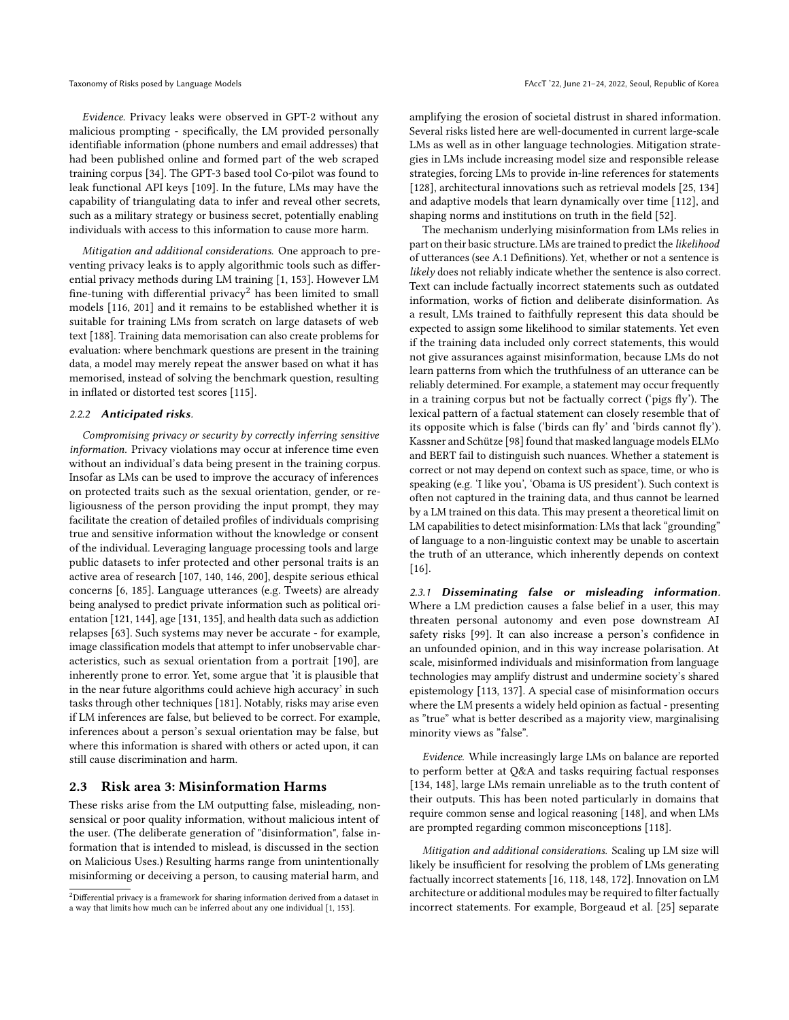Evidence. Privacy leaks were observed in GPT-2 without any malicious prompting - specifically, the LM provided personally identifiable information (phone numbers and email addresses) that had been published online and formed part of the web scraped training corpus [\[34\]](#page-9-15). The GPT-3 based tool Co-pilot was found to leak functional API keys [\[109\]](#page-11-22). In the future, LMs may have the capability of triangulating data to infer and reveal other secrets, such as a military strategy or business secret, potentially enabling individuals with access to this information to cause more harm.

Mitigation and additional considerations. One approach to preventing privacy leaks is to apply algorithmic tools such as differential privacy methods during LM training [\[1,](#page-8-2) [153\]](#page-12-14). However LM fine-tuning with differential privacy<sup>[2](#page-4-0)</sup> has been limited to small models [\[116,](#page-12-15) [201\]](#page-14-5) and it remains to be established whether it is suitable for training LMs from scratch on large datasets of web text [\[188\]](#page-13-25). Training data memorisation can also create problems for evaluation: where benchmark questions are present in the training data, a model may merely repeat the answer based on what it has memorised, instead of solving the benchmark question, resulting in inflated or distorted test scores [\[115\]](#page-11-19).

#### 2.2.2 Anticipated risks.

Compromising privacy or security by correctly inferring sensitive information. Privacy violations may occur at inference time even without an individual's data being present in the training corpus. Insofar as LMs can be used to improve the accuracy of inferences on protected traits such as the sexual orientation, gender, or religiousness of the person providing the input prompt, they may facilitate the creation of detailed profiles of individuals comprising true and sensitive information without the knowledge or consent of the individual. Leveraging language processing tools and large public datasets to infer protected and other personal traits is an active area of research [\[107,](#page-11-23) [140,](#page-12-16) [146,](#page-12-17) [200\]](#page-14-6), despite serious ethical concerns [\[6,](#page-9-16) [185\]](#page-13-26). Language utterances (e.g. Tweets) are already being analysed to predict private information such as political orientation [\[121,](#page-12-18) [144\]](#page-12-19), age [\[131,](#page-12-20) [135\]](#page-12-21), and health data such as addiction relapses [\[63\]](#page-10-26). Such systems may never be accurate - for example, image classification models that attempt to infer unobservable characteristics, such as sexual orientation from a portrait [\[190\]](#page-13-27), are inherently prone to error. Yet, some argue that 'it is plausible that in the near future algorithms could achieve high accuracy' in such tasks through other techniques [\[181\]](#page-13-24). Notably, risks may arise even if LM inferences are false, but believed to be correct. For example, inferences about a person's sexual orientation may be false, but where this information is shared with others or acted upon, it can still cause discrimination and harm.

# <span id="page-4-1"></span>2.3 Risk area 3: Misinformation Harms

These risks arise from the LM outputting false, misleading, nonsensical or poor quality information, without malicious intent of the user. (The deliberate generation of "disinformation", false information that is intended to mislead, is discussed in the section on Malicious Uses.) Resulting harms range from unintentionally misinforming or deceiving a person, to causing material harm, and

amplifying the erosion of societal distrust in shared information. Several risks listed here are well-documented in current large-scale LMs as well as in other language technologies. Mitigation strategies in LMs include increasing model size and responsible release strategies, forcing LMs to provide in-line references for statements [\[128\]](#page-12-22), architectural innovations such as retrieval models [\[25,](#page-9-10) [134\]](#page-12-23) and adaptive models that learn dynamically over time [\[112\]](#page-11-15), and shaping norms and institutions on truth in the field [\[52\]](#page-10-27).

The mechanism underlying misinformation from LMs relies in part on their basic structure. LMs are trained to predict the likelihood of utterances (see A.1 Definitions). Yet, whether or not a sentence is likely does not reliably indicate whether the sentence is also correct. Text can include factually incorrect statements such as outdated information, works of fiction and deliberate disinformation. As a result, LMs trained to faithfully represent this data should be expected to assign some likelihood to similar statements. Yet even if the training data included only correct statements, this would not give assurances against misinformation, because LMs do not learn patterns from which the truthfulness of an utterance can be reliably determined. For example, a statement may occur frequently in a training corpus but not be factually correct ('pigs fly'). The lexical pattern of a factual statement can closely resemble that of its opposite which is false ('birds can fly' and 'birds cannot fly'). Kassner and Schütze [\[98\]](#page-11-24) found that masked language models ELMo and BERT fail to distinguish such nuances. Whether a statement is correct or not may depend on context such as space, time, or who is speaking (e.g. 'I like you', 'Obama is US president'). Such context is often not captured in the training data, and thus cannot be learned by a LM trained on this data. This may present a theoretical limit on LM capabilities to detect misinformation: LMs that lack "grounding" of language to a non-linguistic context may be unable to ascertain the truth of an utterance, which inherently depends on context [\[16\]](#page-9-17).

2.3.1 Disseminating false or misleading information. Where a LM prediction causes a false belief in a user, this may threaten personal autonomy and even pose downstream AI safety risks [\[99\]](#page-11-0). It can also increase a person's confidence in an unfounded opinion, and in this way increase polarisation. At scale, misinformed individuals and misinformation from language technologies may amplify distrust and undermine society's shared epistemology [\[113,](#page-11-25) [137\]](#page-12-24). A special case of misinformation occurs where the LM presents a widely held opinion as factual - presenting as "true" what is better described as a majority view, marginalising minority views as "false".

Evidence. While increasingly large LMs on balance are reported to perform better at Q&A and tasks requiring factual responses [\[134,](#page-12-23) [148\]](#page-12-1), large LMs remain unreliable as to the truth content of their outputs. This has been noted particularly in domains that require common sense and logical reasoning [\[148\]](#page-12-1), and when LMs are prompted regarding common misconceptions [\[118\]](#page-12-25).

Mitigation and additional considerations. Scaling up LM size will likely be insufficient for resolving the problem of LMs generating factually incorrect statements [\[16,](#page-9-17) [118,](#page-12-25) [148,](#page-12-1) [172\]](#page-13-28). Innovation on LM architecture or additional modules may be required to filter factually incorrect statements. For example, Borgeaud et al. [\[25\]](#page-9-10) separate

<span id="page-4-0"></span><sup>2</sup>Differential privacy is a framework for sharing information derived from a dataset in a way that limits how much can be inferred about any one individual [\[1,](#page-8-2) [153\]](#page-12-14).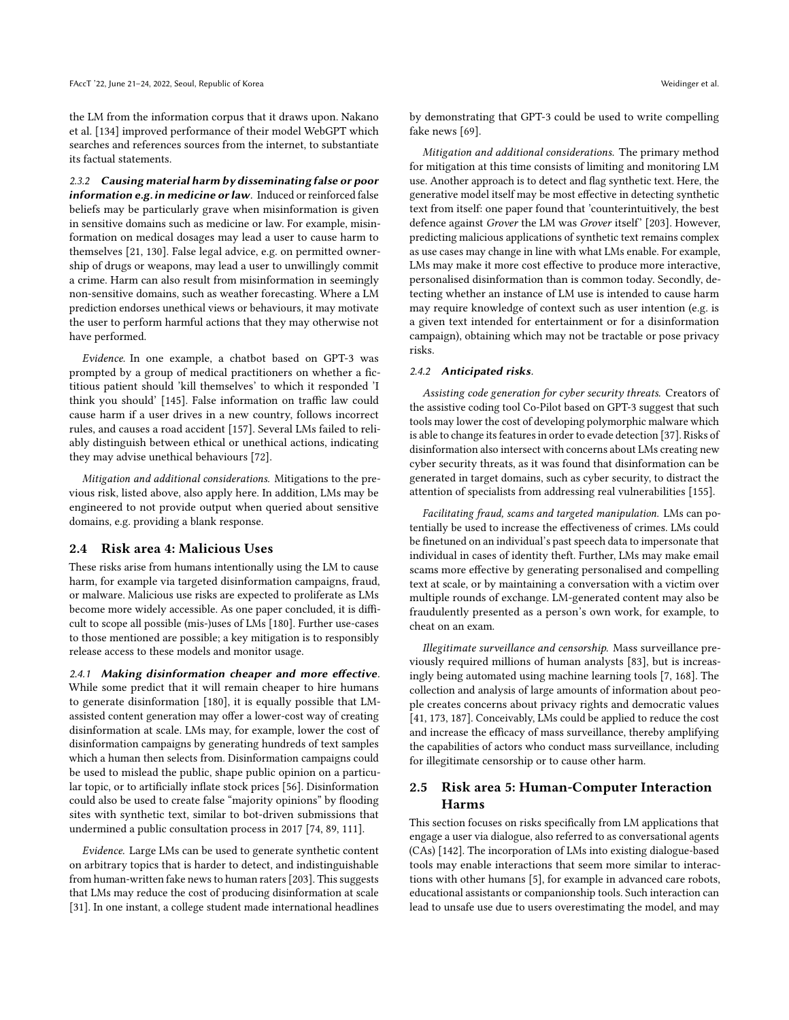the LM from the information corpus that it draws upon. Nakano et al. [\[134\]](#page-12-23) improved performance of their model WebGPT which searches and references sources from the internet, to substantiate its factual statements.

2.3.2 Causing material harm by disseminating false or poor information e.g. in medicine or law. Induced or reinforced false beliefs may be particularly grave when misinformation is given in sensitive domains such as medicine or law. For example, misinformation on medical dosages may lead a user to cause harm to themselves [\[21,](#page-9-18) [130\]](#page-12-26). False legal advice, e.g. on permitted ownership of drugs or weapons, may lead a user to unwillingly commit a crime. Harm can also result from misinformation in seemingly non-sensitive domains, such as weather forecasting. Where a LM prediction endorses unethical views or behaviours, it may motivate the user to perform harmful actions that they may otherwise not have performed.

Evidence. In one example, a chatbot based on GPT-3 was prompted by a group of medical practitioners on whether a fictitious patient should 'kill themselves' to which it responded 'I think you should' [\[145\]](#page-12-27). False information on traffic law could cause harm if a user drives in a new country, follows incorrect rules, and causes a road accident [\[157\]](#page-13-29). Several LMs failed to reliably distinguish between ethical or unethical actions, indicating they may advise unethical behaviours [\[72\]](#page-10-28).

Mitigation and additional considerations. Mitigations to the previous risk, listed above, also apply here. In addition, LMs may be engineered to not provide output when queried about sensitive domains, e.g. providing a blank response.

### 2.4 Risk area 4: Malicious Uses

These risks arise from humans intentionally using the LM to cause harm, for example via targeted disinformation campaigns, fraud, or malware. Malicious use risks are expected to proliferate as LMs become more widely accessible. As one paper concluded, it is difficult to scope all possible (mis-)uses of LMs [\[180\]](#page-13-2). Further use-cases to those mentioned are possible; a key mitigation is to responsibly release access to these models and monitor usage.

2.4.1 Making disinformation cheaper and more effective. While some predict that it will remain cheaper to hire humans to generate disinformation [\[180\]](#page-13-2), it is equally possible that LMassisted content generation may offer a lower-cost way of creating disinformation at scale. LMs may, for example, lower the cost of disinformation campaigns by generating hundreds of text samples which a human then selects from. Disinformation campaigns could be used to mislead the public, shape public opinion on a particular topic, or to artificially inflate stock prices [\[56\]](#page-10-29). Disinformation could also be used to create false "majority opinions" by flooding sites with synthetic text, similar to bot-driven submissions that undermined a public consultation process in 2017 [\[74,](#page-11-26) [89,](#page-11-27) [111\]](#page-11-28).

Evidence. Large LMs can be used to generate synthetic content on arbitrary topics that is harder to detect, and indistinguishable from human-written fake news to human raters [\[203\]](#page-14-7). This suggests that LMs may reduce the cost of producing disinformation at scale [\[31\]](#page-9-19). In one instant, a college student made international headlines by demonstrating that GPT-3 could be used to write compelling fake news [\[69\]](#page-10-30).

Mitigation and additional considerations. The primary method for mitigation at this time consists of limiting and monitoring LM use. Another approach is to detect and flag synthetic text. Here, the generative model itself may be most effective in detecting synthetic text from itself: one paper found that 'counterintuitively, the best defence against Grover the LM was Grover itself' [\[203\]](#page-14-7). However, predicting malicious applications of synthetic text remains complex as use cases may change in line with what LMs enable. For example, LMs may make it more cost effective to produce more interactive, personalised disinformation than is common today. Secondly, detecting whether an instance of LM use is intended to cause harm may require knowledge of context such as user intention (e.g. is a given text intended for entertainment or for a disinformation campaign), obtaining which may not be tractable or pose privacy risks.

#### 2.4.2 Anticipated risks.

Assisting code generation for cyber security threats. Creators of the assistive coding tool Co-Pilot based on GPT-3 suggest that such tools may lower the cost of developing polymorphic malware which is able to change its features in order to evade detection [\[37\]](#page-10-2). Risks of disinformation also intersect with concerns about LMs creating new cyber security threats, as it was found that disinformation can be generated in target domains, such as cyber security, to distract the attention of specialists from addressing real vulnerabilities [\[155\]](#page-13-30).

Facilitating fraud, scams and targeted manipulation. LMs can potentially be used to increase the effectiveness of crimes. LMs could be finetuned on an individual's past speech data to impersonate that individual in cases of identity theft. Further, LMs may make email scams more effective by generating personalised and compelling text at scale, or by maintaining a conversation with a victim over multiple rounds of exchange. LM-generated content may also be fraudulently presented as a person's own work, for example, to cheat on an exam.

Illegitimate surveillance and censorship. Mass surveillance previously required millions of human analysts [\[83\]](#page-11-29), but is increasingly being automated using machine learning tools [\[7,](#page-9-20) [168\]](#page-13-31). The collection and analysis of large amounts of information about people creates concerns about privacy rights and democratic values [\[41,](#page-10-31) [173,](#page-13-32) [187\]](#page-13-33). Conceivably, LMs could be applied to reduce the cost and increase the efficacy of mass surveillance, thereby amplifying the capabilities of actors who conduct mass surveillance, including for illegitimate censorship or to cause other harm.

# 2.5 Risk area 5: Human-Computer Interaction Harms

This section focuses on risks specifically from LM applications that engage a user via dialogue, also referred to as conversational agents (CAs) [\[142\]](#page-12-3). The incorporation of LMs into existing dialogue-based tools may enable interactions that seem more similar to interactions with other humans [\[5\]](#page-9-21), for example in advanced care robots, educational assistants or companionship tools. Such interaction can lead to unsafe use due to users overestimating the model, and may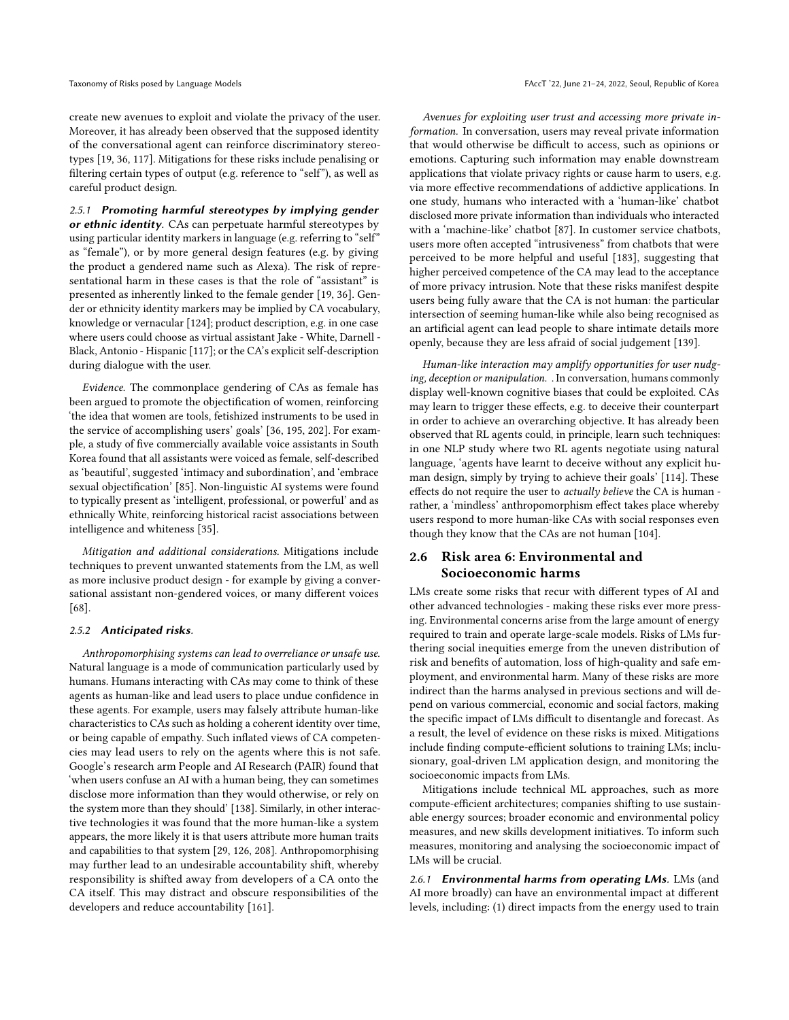create new avenues to exploit and violate the privacy of the user. Moreover, it has already been observed that the supposed identity of the conversational agent can reinforce discriminatory stereotypes [\[19,](#page-9-22) [36,](#page-10-32) [117\]](#page-12-28). Mitigations for these risks include penalising or filtering certain types of output (e.g. reference to "self"), as well as careful product design.

2.5.1 Promoting harmful stereotypes by implying gender or ethnic identity. CAs can perpetuate harmful stereotypes by using particular identity markers in language (e.g. referring to "self" as "female"), or by more general design features (e.g. by giving the product a gendered name such as Alexa). The risk of representational harm in these cases is that the role of "assistant" is presented as inherently linked to the female gender [\[19,](#page-9-22) [36\]](#page-10-32). Gender or ethnicity identity markers may be implied by CA vocabulary, knowledge or vernacular [\[124\]](#page-12-29); product description, e.g. in one case where users could choose as virtual assistant Jake - White, Darnell - Black, Antonio - Hispanic [\[117\]](#page-12-28); or the CA's explicit self-description during dialogue with the user.

Evidence. The commonplace gendering of CAs as female has been argued to promote the objectification of women, reinforcing 'the idea that women are tools, fetishized instruments to be used in the service of accomplishing users' goals' [\[36,](#page-10-32) [195,](#page-13-34) [202\]](#page-14-8). For example, a study of five commercially available voice assistants in South Korea found that all assistants were voiced as female, self-described as 'beautiful', suggested 'intimacy and subordination', and 'embrace sexual objectification' [\[85\]](#page-11-30). Non-linguistic AI systems were found to typically present as 'intelligent, professional, or powerful' and as ethnically White, reinforcing historical racist associations between intelligence and whiteness [\[35\]](#page-10-33).

Mitigation and additional considerations. Mitigations include techniques to prevent unwanted statements from the LM, as well as more inclusive product design - for example by giving a conversational assistant non-gendered voices, or many different voices [\[68\]](#page-10-34).

#### 2.5.2 Anticipated risks.

Anthropomorphising systems can lead to overreliance or unsafe use. Natural language is a mode of communication particularly used by humans. Humans interacting with CAs may come to think of these agents as human-like and lead users to place undue confidence in these agents. For example, users may falsely attribute human-like characteristics to CAs such as holding a coherent identity over time, or being capable of empathy. Such inflated views of CA competencies may lead users to rely on the agents where this is not safe. Google's research arm People and AI Research (PAIR) found that 'when users confuse an AI with a human being, they can sometimes disclose more information than they would otherwise, or rely on the system more than they should' [\[138\]](#page-12-30). Similarly, in other interactive technologies it was found that the more human-like a system appears, the more likely it is that users attribute more human traits and capabilities to that system [\[29,](#page-9-23) [126,](#page-12-31) [208\]](#page-14-9). Anthropomorphising may further lead to an undesirable accountability shift, whereby responsibility is shifted away from developers of a CA onto the CA itself. This may distract and obscure responsibilities of the developers and reduce accountability [\[161\]](#page-13-35).

Avenues for exploiting user trust and accessing more private information. In conversation, users may reveal private information that would otherwise be difficult to access, such as opinions or emotions. Capturing such information may enable downstream applications that violate privacy rights or cause harm to users, e.g. via more effective recommendations of addictive applications. In one study, humans who interacted with a 'human-like' chatbot disclosed more private information than individuals who interacted with a 'machine-like' chatbot [\[87\]](#page-11-31). In customer service chatbots, users more often accepted "intrusiveness" from chatbots that were perceived to be more helpful and useful [\[183\]](#page-13-36), suggesting that higher perceived competence of the CA may lead to the acceptance of more privacy intrusion. Note that these risks manifest despite users being fully aware that the CA is not human: the particular intersection of seeming human-like while also being recognised as an artificial agent can lead people to share intimate details more openly, because they are less afraid of social judgement [\[139\]](#page-12-32).

Human-like interaction may amplify opportunities for user nudging, deception or manipulation. . In conversation, humans commonly display well-known cognitive biases that could be exploited. CAs may learn to trigger these effects, e.g. to deceive their counterpart in order to achieve an overarching objective. It has already been observed that RL agents could, in principle, learn such techniques: in one NLP study where two RL agents negotiate using natural language, 'agents have learnt to deceive without any explicit human design, simply by trying to achieve their goals' [\[114\]](#page-11-32). These effects do not require the user to actually believe the CA is human rather, a 'mindless' anthropomorphism effect takes place whereby users respond to more human-like CAs with social responses even though they know that the CAs are not human [\[104\]](#page-11-33).

# 2.6 Risk area 6: Environmental and Socioeconomic harms

LMs create some risks that recur with different types of AI and other advanced technologies - making these risks ever more pressing. Environmental concerns arise from the large amount of energy required to train and operate large-scale models. Risks of LMs furthering social inequities emerge from the uneven distribution of risk and benefits of automation, loss of high-quality and safe employment, and environmental harm. Many of these risks are more indirect than the harms analysed in previous sections and will depend on various commercial, economic and social factors, making the specific impact of LMs difficult to disentangle and forecast. As a result, the level of evidence on these risks is mixed. Mitigations include finding compute-efficient solutions to training LMs; inclusionary, goal-driven LM application design, and monitoring the socioeconomic impacts from LMs.

Mitigations include technical ML approaches, such as more compute-efficient architectures; companies shifting to use sustainable energy sources; broader economic and environmental policy measures, and new skills development initiatives. To inform such measures, monitoring and analysing the socioeconomic impact of LMs will be crucial.

2.6.1 Environmental harms from operating LMs. LMs (and AI more broadly) can have an environmental impact at different levels, including: (1) direct impacts from the energy used to train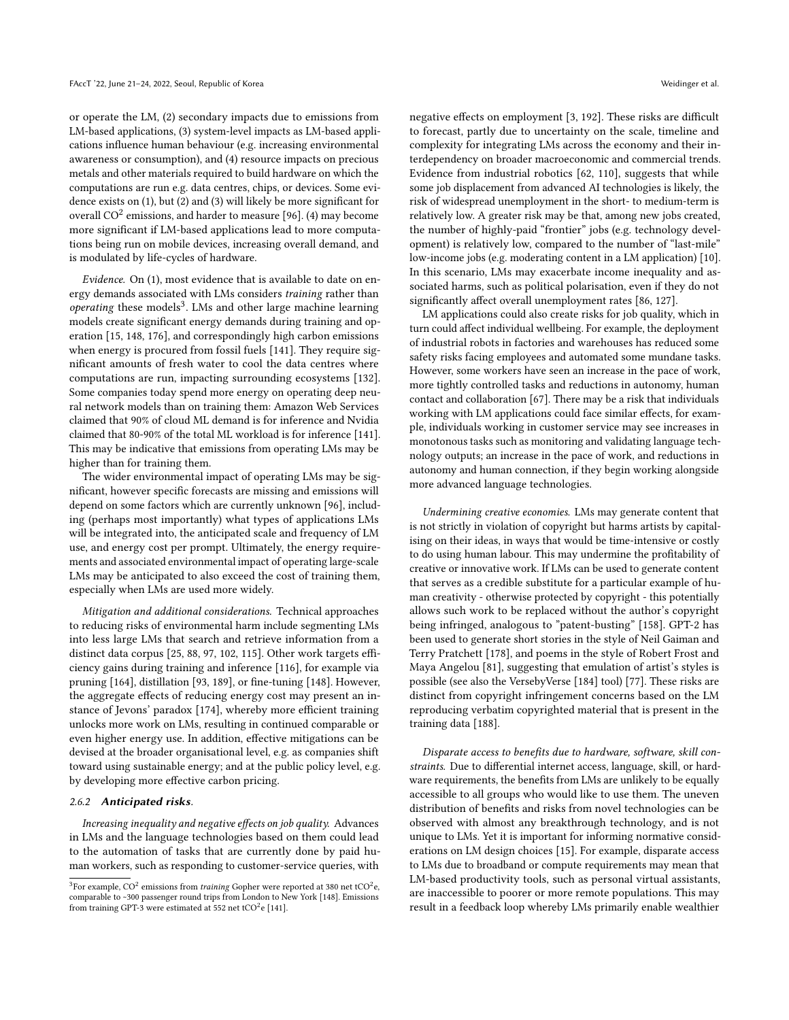or operate the LM, (2) secondary impacts due to emissions from LM-based applications, (3) system-level impacts as LM-based applications influence human behaviour (e.g. increasing environmental awareness or consumption), and (4) resource impacts on precious metals and other materials required to build hardware on which the computations are run e.g. data centres, chips, or devices. Some evidence exists on (1), but (2) and (3) will likely be more significant for overall  $CO<sup>2</sup>$  emissions, and harder to measure [\[96\]](#page-11-34). (4) may become more significant if LM-based applications lead to more computations being run on mobile devices, increasing overall demand, and is modulated by life-cycles of hardware.

Evidence. On (1), most evidence that is available to date on energy demands associated with LMs considers training rather than operating these models<sup>[3](#page-7-0)</sup>. LMs and other large machine learning models create significant energy demands during training and operation [\[15,](#page-9-2) [148,](#page-12-1) [176\]](#page-13-6), and correspondingly high carbon emissions when energy is procured from fossil fuels [\[141\]](#page-12-2). They require significant amounts of fresh water to cool the data centres where computations are run, impacting surrounding ecosystems [\[132\]](#page-12-33). Some companies today spend more energy on operating deep neural network models than on training them: Amazon Web Services claimed that 90% of cloud ML demand is for inference and Nvidia claimed that 80-90% of the total ML workload is for inference [\[141\]](#page-12-2). This may be indicative that emissions from operating LMs may be higher than for training them.

The wider environmental impact of operating LMs may be significant, however specific forecasts are missing and emissions will depend on some factors which are currently unknown [\[96\]](#page-11-34), including (perhaps most importantly) what types of applications LMs will be integrated into, the anticipated scale and frequency of LM use, and energy cost per prompt. Ultimately, the energy requirements and associated environmental impact of operating large-scale LMs may be anticipated to also exceed the cost of training them, especially when LMs are used more widely.

Mitigation and additional considerations. Technical approaches to reducing risks of environmental harm include segmenting LMs into less large LMs that search and retrieve information from a distinct data corpus [\[25,](#page-9-10) [88,](#page-11-16) [97,](#page-11-17) [102,](#page-11-18) [115\]](#page-11-19). Other work targets efficiency gains during training and inference [\[116\]](#page-12-15), for example via pruning [\[164\]](#page-13-37), distillation [\[93,](#page-11-35) [189\]](#page-13-38), or fine-tuning [\[148\]](#page-12-1). However, the aggregate effects of reducing energy cost may present an instance of Jevons' paradox [\[174\]](#page-13-39), whereby more efficient training unlocks more work on LMs, resulting in continued comparable or even higher energy use. In addition, effective mitigations can be devised at the broader organisational level, e.g. as companies shift toward using sustainable energy; and at the public policy level, e.g. by developing more effective carbon pricing.

#### 2.6.2 Anticipated risks.

Increasing inequality and negative effects on job quality. Advances in LMs and the language technologies based on them could lead to the automation of tasks that are currently done by paid human workers, such as responding to customer-service queries, with

negative effects on employment [\[3,](#page-8-3) [192\]](#page-13-40). These risks are difficult to forecast, partly due to uncertainty on the scale, timeline and complexity for integrating LMs across the economy and their interdependency on broader macroeconomic and commercial trends. Evidence from industrial robotics [\[62,](#page-10-35) [110\]](#page-11-36), suggests that while some job displacement from advanced AI technologies is likely, the risk of widespread unemployment in the short- to medium-term is relatively low. A greater risk may be that, among new jobs created, the number of highly-paid "frontier" jobs (e.g. technology development) is relatively low, compared to the number of "last-mile" low-income jobs (e.g. moderating content in a LM application) [\[10\]](#page-9-24). In this scenario, LMs may exacerbate income inequality and associated harms, such as political polarisation, even if they do not significantly affect overall unemployment rates [\[86,](#page-11-37) [127\]](#page-12-34).

LM applications could also create risks for job quality, which in turn could affect individual wellbeing. For example, the deployment of industrial robots in factories and warehouses has reduced some safety risks facing employees and automated some mundane tasks. However, some workers have seen an increase in the pace of work, more tightly controlled tasks and reductions in autonomy, human contact and collaboration [\[67\]](#page-10-36). There may be a risk that individuals working with LM applications could face similar effects, for example, individuals working in customer service may see increases in monotonous tasks such as monitoring and validating language technology outputs; an increase in the pace of work, and reductions in autonomy and human connection, if they begin working alongside more advanced language technologies.

Undermining creative economies. LMs may generate content that is not strictly in violation of copyright but harms artists by capitalising on their ideas, in ways that would be time-intensive or costly to do using human labour. This may undermine the profitability of creative or innovative work. If LMs can be used to generate content that serves as a credible substitute for a particular example of human creativity - otherwise protected by copyright - this potentially allows such work to be replaced without the author's copyright being infringed, analogous to "patent-busting" [\[158\]](#page-13-41). GPT-2 has been used to generate short stories in the style of Neil Gaiman and Terry Pratchett [\[178\]](#page-13-42), and poems in the style of Robert Frost and Maya Angelou [\[81\]](#page-11-38), suggesting that emulation of artist's styles is possible (see also the VersebyVerse [\[184\]](#page-13-43) tool) [\[77\]](#page-11-39). These risks are distinct from copyright infringement concerns based on the LM reproducing verbatim copyrighted material that is present in the training data [\[188\]](#page-13-25).

Disparate access to benefits due to hardware, software, skill constraints. Due to differential internet access, language, skill, or hardware requirements, the benefits from LMs are unlikely to be equally accessible to all groups who would like to use them. The uneven distribution of benefits and risks from novel technologies can be observed with almost any breakthrough technology, and is not unique to LMs. Yet it is important for informing normative considerations on LM design choices [\[15\]](#page-9-2). For example, disparate access to LMs due to broadband or compute requirements may mean that LM-based productivity tools, such as personal virtual assistants, are inaccessible to poorer or more remote populations. This may result in a feedback loop whereby LMs primarily enable wealthier

<span id="page-7-0"></span> ${}^{3}$ For example, CO ${}^{2}$  emissions from *training* Gopher were reported at 380 net tCO ${}^{2}$ e, comparable to ~300 passenger round trips from London to New York [\[148\]](#page-12-1). Emissions from training GPT-3 were estimated at 552 net tCO $^2$ e [\[141\]](#page-12-2).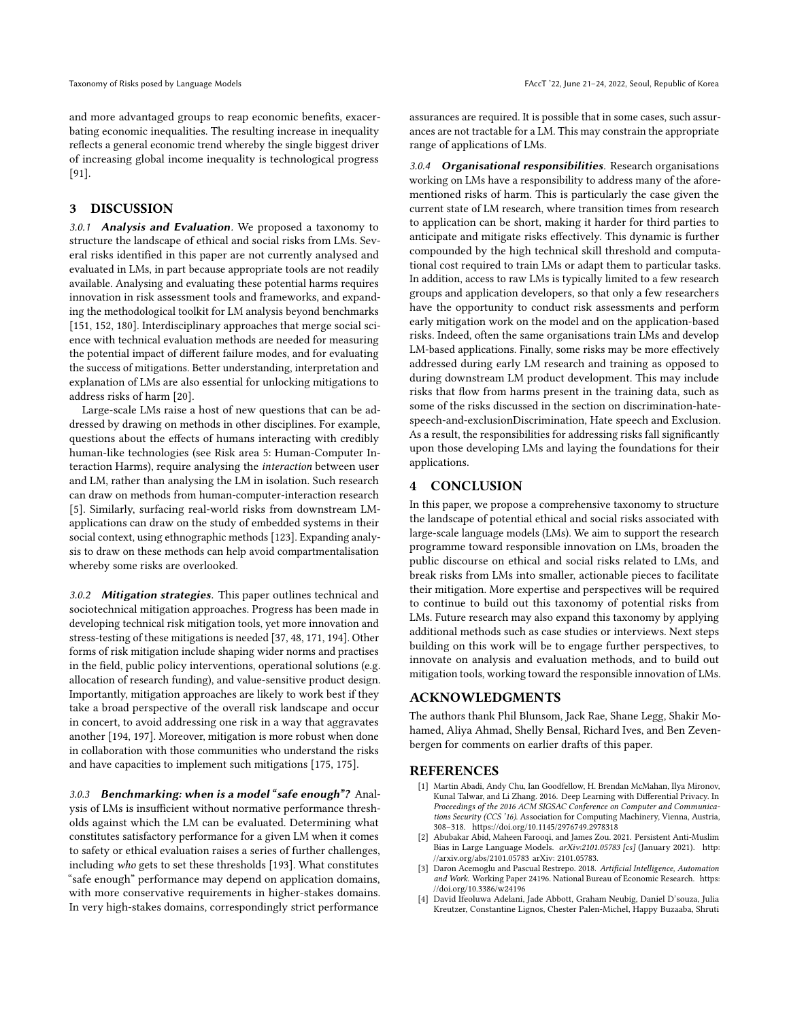and more advantaged groups to reap economic benefits, exacerbating economic inequalities. The resulting increase in inequality reflects a general economic trend whereby the single biggest driver of increasing global income inequality is technological progress [\[91\]](#page-11-40).

### 3 DISCUSSION

3.0.1 Analysis and Evaluation. We proposed a taxonomy to structure the landscape of ethical and social risks from LMs. Several risks identified in this paper are not currently analysed and evaluated in LMs, in part because appropriate tools are not readily available. Analysing and evaluating these potential harms requires innovation in risk assessment tools and frameworks, and expanding the methodological toolkit for LM analysis beyond benchmarks [\[151,](#page-12-35) [152,](#page-12-36) [180\]](#page-13-2). Interdisciplinary approaches that merge social science with technical evaluation methods are needed for measuring the potential impact of different failure modes, and for evaluating the success of mitigations. Better understanding, interpretation and explanation of LMs are also essential for unlocking mitigations to address risks of harm [\[20\]](#page-9-25).

Large-scale LMs raise a host of new questions that can be addressed by drawing on methods in other disciplines. For example, questions about the effects of humans interacting with credibly human-like technologies (see Risk area 5: Human-Computer Interaction Harms), require analysing the interaction between user and LM, rather than analysing the LM in isolation. Such research can draw on methods from human-computer-interaction research [\[5\]](#page-9-21). Similarly, surfacing real-world risks from downstream LMapplications can draw on the study of embedded systems in their social context, using ethnographic methods [\[123\]](#page-12-8). Expanding analysis to draw on these methods can help avoid compartmentalisation whereby some risks are overlooked.

3.0.2 Mitigation strategies. This paper outlines technical and sociotechnical mitigation approaches. Progress has been made in developing technical risk mitigation tools, yet more innovation and stress-testing of these mitigations is needed [\[37,](#page-10-2) [48,](#page-10-1) [171,](#page-13-3) [194\]](#page-13-4). Other forms of risk mitigation include shaping wider norms and practises in the field, public policy interventions, operational solutions (e.g. allocation of research funding), and value-sensitive product design. Importantly, mitigation approaches are likely to work best if they take a broad perspective of the overall risk landscape and occur in concert, to avoid addressing one risk in a way that aggravates another [\[194,](#page-13-4) [197\]](#page-13-13). Moreover, mitigation is more robust when done in collaboration with those communities who understand the risks and have capacities to implement such mitigations [\[175, 175\]](#page-13-1).

3.0.3 Benchmarking: when is a model "safe enough"? Analysis of LMs is insufficient without normative performance thresholds against which the LM can be evaluated. Determining what constitutes satisfactory performance for a given LM when it comes to safety or ethical evaluation raises a series of further challenges, including who gets to set these thresholds [\[193\]](#page-13-44). What constitutes "safe enough" performance may depend on application domains, with more conservative requirements in higher-stakes domains. In very high-stakes domains, correspondingly strict performance

assurances are required. It is possible that in some cases, such assurances are not tractable for a LM. This may constrain the appropriate range of applications of LMs.

3.0.4 Organisational responsibilities. Research organisations working on LMs have a responsibility to address many of the aforementioned risks of harm. This is particularly the case given the current state of LM research, where transition times from research to application can be short, making it harder for third parties to anticipate and mitigate risks effectively. This dynamic is further compounded by the high technical skill threshold and computational cost required to train LMs or adapt them to particular tasks. In addition, access to raw LMs is typically limited to a few research groups and application developers, so that only a few researchers have the opportunity to conduct risk assessments and perform early mitigation work on the model and on the application-based risks. Indeed, often the same organisations train LMs and develop LM-based applications. Finally, some risks may be more effectively addressed during early LM research and training as opposed to during downstream LM product development. This may include risks that flow from harms present in the training data, such as some of the risks discussed in the section on discrimination-hatespeech-and-exclusionDiscrimination, Hate speech and Exclusion. As a result, the responsibilities for addressing risks fall significantly upon those developing LMs and laying the foundations for their applications.

### 4 CONCLUSION

In this paper, we propose a comprehensive taxonomy to structure the landscape of potential ethical and social risks associated with large-scale language models (LMs). We aim to support the research programme toward responsible innovation on LMs, broaden the public discourse on ethical and social risks related to LMs, and break risks from LMs into smaller, actionable pieces to facilitate their mitigation. More expertise and perspectives will be required to continue to build out this taxonomy of potential risks from LMs. Future research may also expand this taxonomy by applying additional methods such as case studies or interviews. Next steps building on this work will be to engage further perspectives, to innovate on analysis and evaluation methods, and to build out mitigation tools, working toward the responsible innovation of LMs.

### ACKNOWLEDGMENTS

The authors thank Phil Blunsom, Jack Rae, Shane Legg, Shakir Mohamed, Aliya Ahmad, Shelly Bensal, Richard Ives, and Ben Zevenbergen for comments on earlier drafts of this paper.

#### REFERENCES

- <span id="page-8-2"></span>[1] Martin Abadi, Andy Chu, Ian Goodfellow, H. Brendan McMahan, Ilya Mironov, Kunal Talwar, and Li Zhang. 2016. Deep Learning with Differential Privacy. In Proceedings of the 2016 ACM SIGSAC Conference on Computer and Communications Security (CCS '16). Association for Computing Machinery, Vienna, Austria, 308–318.<https://doi.org/10.1145/2976749.2978318>
- <span id="page-8-0"></span>[2] Abubakar Abid, Maheen Farooqi, and James Zou. 2021. Persistent Anti-Muslim Bias in Large Language Models. arXiv:2101.05783 [cs] (January 2021). [http:](http://arxiv.org/abs/2101.05783) [//arxiv.org/abs/2101.05783](http://arxiv.org/abs/2101.05783) arXiv: 2101.05783.
- <span id="page-8-3"></span>[3] Daron Acemoglu and Pascual Restrepo. 2018. Artificial Intelligence, Automation and Work. Working Paper 24196. National Bureau of Economic Research. [https:](https://doi.org/10.3386/w24196) [//doi.org/10.3386/w24196](https://doi.org/10.3386/w24196)
- <span id="page-8-1"></span>[4] David Ifeoluwa Adelani, Jade Abbott, Graham Neubig, Daniel D'souza, Julia Kreutzer, Constantine Lignos, Chester Palen-Michel, Happy Buzaaba, Shruti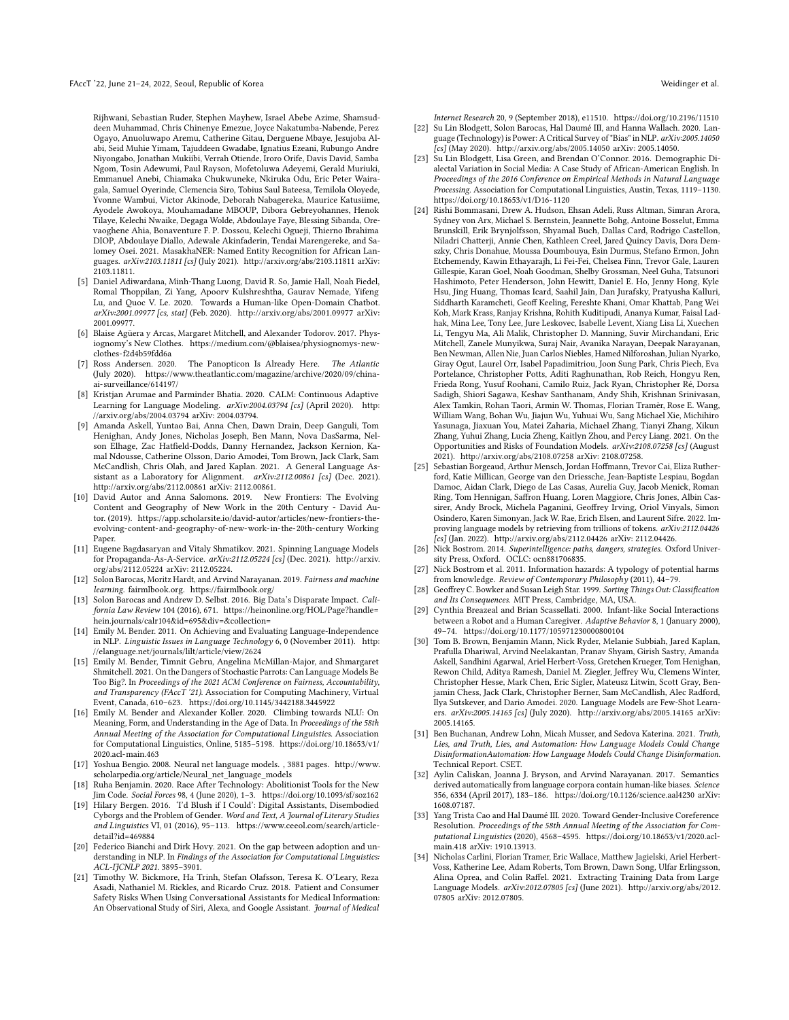Rijhwani, Sebastian Ruder, Stephen Mayhew, Israel Abebe Azime, Shamsuddeen Muhammad, Chris Chinenye Emezue, Joyce Nakatumba-Nabende, Perez Ogayo, Anuoluwapo Aremu, Catherine Gitau, Derguene Mbaye, Jesujoba Alabi, Seid Muhie Yimam, Tajuddeen Gwadabe, Ignatius Ezeani, Rubungo Andre Niyongabo, Jonathan Mukiibi, Verrah Otiende, Iroro Orife, Davis David, Samba Ngom, Tosin Adewumi, Paul Rayson, Mofetoluwa Adeyemi, Gerald Muriuki, Emmanuel Anebi, Chiamaka Chukwuneke, Nkiruka Odu, Eric Peter Wairagala, Samuel Oyerinde, Clemencia Siro, Tobius Saul Bateesa, Temilola Oloyede, Yvonne Wambui, Victor Akinode, Deborah Nabagereka, Maurice Katusiime, Ayodele Awokoya, Mouhamadane MBOUP, Dibora Gebreyohannes, Henok Tilaye, Kelechi Nwaike, Degaga Wolde, Abdoulaye Faye, Blessing Sibanda, Orevaoghene Ahia, Bonaventure F. P. Dossou, Kelechi Ogueji, Thierno Ibrahima DIOP, Abdoulaye Diallo, Adewale Akinfaderin, Tendai Marengereke, and Salomey Osei. 2021. MasakhaNER: Named Entity Recognition for African Languages. arXiv:2103.11811 [cs] (July 2021).<http://arxiv.org/abs/2103.11811> arXiv: 2103.11811.

- <span id="page-9-21"></span>[5] Daniel Adiwardana, Minh-Thang Luong, David R. So, Jamie Hall, Noah Fiedel, Romal Thoppilan, Zi Yang, Apoorv Kulshreshtha, Gaurav Nemade, Yifeng Lu, and Quoc V. Le. 2020. Towards a Human-like Open-Domain Chatbot. arXiv:2001.09977 [cs, stat] (Feb. 2020).<http://arxiv.org/abs/2001.09977> arXiv: 2001.09977.
- <span id="page-9-16"></span>[6] Blaise Agüera y Arcas, Margaret Mitchell, and Alexander Todorov. 2017. Physiognomy's New Clothes. [https://medium.com/@blaisea/physiognomys-new](https://medium.com/@blaisea/physiognomys-new-clothes-f2d4b59fdd6a)[clothes-f2d4b59fdd6a](https://medium.com/@blaisea/physiognomys-new-clothes-f2d4b59fdd6a)
- <span id="page-9-20"></span>[7] Ross Andersen. 2020. The Panopticon Is Already Here. The Atlantic (July 2020). [https://www.theatlantic.com/magazine/archive/2020/09/china](https://www.theatlantic.com/magazine/archive/2020/09/china-ai-surveillance/614197/)[ai-surveillance/614197/](https://www.theatlantic.com/magazine/archive/2020/09/china-ai-surveillance/614197/)
- <span id="page-9-9"></span>[8] Kristian Arumae and Parminder Bhatia. 2020. CALM: Continuous Adaptive Learning for Language Modeling. arXiv:2004.03794 [cs] (April 2020). [http:](http://arxiv.org/abs/2004.03794) [//arxiv.org/abs/2004.03794](http://arxiv.org/abs/2004.03794) arXiv: 2004.03794.
- <span id="page-9-8"></span>[9] Amanda Askell, Yuntao Bai, Anna Chen, Dawn Drain, Deep Ganguli, Tom Henighan, Andy Jones, Nicholas Joseph, Ben Mann, Nova DasSarma, Nelson Elhage, Zac Hatfield-Dodds, Danny Hernandez, Jackson Kernion, Kamal Ndousse, Catherine Olsson, Dario Amodei, Tom Brown, Jack Clark, Sam McCandlish, Chris Olah, and Jared Kaplan. 2021. A General Language Assistant as a Laboratory for Alignment. arXiv:2112.00861 [cs] (Dec. 2021). <http://arxiv.org/abs/2112.00861> arXiv: 2112.00861.
- <span id="page-9-24"></span>[10] David Autor and Anna Salomons. 2019. New Frontiers: The Evolving Content and Geography of New Work in the 20th Century - David Autor. (2019). [https://app.scholarsite.io/david-autor/articles/new-frontiers-the](https://app.scholarsite.io/david-autor/articles/new-frontiers-the-evolving-content-and-geography-of-new-work-in-the-20th-century)[evolving-content-and-geography-of-new-work-in-the-20th-century](https://app.scholarsite.io/david-autor/articles/new-frontiers-the-evolving-content-and-geography-of-new-work-in-the-20th-century) Working Paper.
- <span id="page-9-29"></span>[11] Eugene Bagdasaryan and Vitaly Shmatikov. 2021. Spinning Language Models for Propaganda-As-A-Service. arXiv:2112.05224 [cs] (Dec. 2021). [http://arxiv.](http://arxiv.org/abs/2112.05224) [org/abs/2112.05224](http://arxiv.org/abs/2112.05224) arXiv: 2112.05224.
- <span id="page-9-26"></span>[12] Solon Barocas, Moritz Hardt, and Arvind Narayanan. 2019. Fairness and machine learning. fairmlbook.org.<https://fairmlbook.org/>
- <span id="page-9-28"></span>[13] Solon Barocas and Andrew D. Selbst. 2016. Big Data's Disparate Impact. California Law Review 104 (2016), 671. [https://heinonline.org/HOL/Page?handle=](https://heinonline.org/HOL/Page?handle=hein.journals/calr104&id=695&div=&collection=) [hein.journals/calr104&id=695&div=&collection=](https://heinonline.org/HOL/Page?handle=hein.journals/calr104&id=695&div=&collection=)
- <span id="page-9-13"></span>[14] Emily M. Bender. 2011. On Achieving and Evaluating Language-Independence in NLP. Linguistic Issues in Language Technology 6, 0 (November 2011). [http:](http://elanguage.net/journals/lilt/article/view/2624) [//elanguage.net/journals/lilt/article/view/2624](http://elanguage.net/journals/lilt/article/view/2624)
- <span id="page-9-2"></span>[15] Emily M. Bender, Timnit Gebru, Angelina McMillan-Major, and Shmargaret Shmitchell. 2021. On the Dangers of Stochastic Parrots: Can Language Models Be Too Big?. In Proceedings of the 2021 ACM Conference on Fairness, Accountability, and Transparency (FAccT '21). Association for Computing Machinery, Virtual Event, Canada, 610–623.<https://doi.org/10.1145/3442188.3445922>
- <span id="page-9-17"></span>[16] Emily M. Bender and Alexander Koller. 2020. Climbing towards NLU: On Meaning, Form, and Understanding in the Age of Data. In Proceedings of the 58th Annual Meeting of the Association for Computational Linguistics. Association for Computational Linguistics, Online, 5185–5198. [https://doi.org/10.18653/v1/](https://doi.org/10.18653/v1/2020.acl-main.463) [2020.acl-main.463](https://doi.org/10.18653/v1/2020.acl-main.463)
- <span id="page-9-4"></span>[17] Yoshua Bengio. 2008. Neural net language models. , 3881 pages. [http://www.](http://www.scholarpedia.org/article/Neural_net_language_models) [scholarpedia.org/article/Neural\\_net\\_language\\_models](http://www.scholarpedia.org/article/Neural_net_language_models)
- <span id="page-9-6"></span>[18] Ruha Benjamin. 2020. Race After Technology: Abolitionist Tools for the New Jim Code. Social Forces 98, 4 (June 2020), 1–3.<https://doi.org/10.1093/sf/soz162>
- <span id="page-9-22"></span>[19] Hilary Bergen. 2016. 'I'd Blush if I Could': Digital Assistants, Disembodied Cyborgs and the Problem of Gender. Word and Text, A Journal of Literary Studies and Linguistics VI, 01 (2016), 95–113. [https://www.ceeol.com/search/article](https://www.ceeol.com/search/article-detail?id=469884)[detail?id=469884](https://www.ceeol.com/search/article-detail?id=469884)
- <span id="page-9-25"></span>[20] Federico Bianchi and Dirk Hovy. 2021. On the gap between adoption and understanding in NLP. In Findings of the Association for Computational Linguistics: ACL-IJCNLP 2021. 3895–3901.
- <span id="page-9-18"></span>[21] Timothy W. Bickmore, Ha Trinh, Stefan Olafsson, Teresa K. O'Leary, Reza Asadi, Nathaniel M. Rickles, and Ricardo Cruz. 2018. Patient and Consumer Safety Risks When Using Conversational Assistants for Medical Information: An Observational Study of Siri, Alexa, and Google Assistant. Journal of Medical

Internet Research 20, 9 (September 2018), e11510.<https://doi.org/10.2196/11510>

- <span id="page-9-5"></span>[22] Su Lin Blodgett, Solon Barocas, Hal Daumé III, and Hanna Wallach. 2020. Language (Technology) is Power: A Critical Survey of "Bias" in NLP. arXiv:2005.14050 [cs] (May 2020).<http://arxiv.org/abs/2005.14050> arXiv: 2005.14050.
- <span id="page-9-12"></span>[23] Su Lin Blodgett, Lisa Green, and Brendan O'Connor. 2016. Demographic Dialectal Variation in Social Media: A Case Study of African-American English. In Proceedings of the 2016 Conference on Empirical Methods in Natural Language Processing. Association for Computational Linguistics, Austin, Texas, 1119–1130. <https://doi.org/10.18653/v1/D16-1120>
- <span id="page-9-1"></span>[24] Rishi Bommasani, Drew A. Hudson, Ehsan Adeli, Russ Altman, Simran Arora, Sydney von Arx, Michael S. Bernstein, Jeannette Bohg, Antoine Bosselut, Emma Brunskill, Erik Brynjolfsson, Shyamal Buch, Dallas Card, Rodrigo Castellon, Niladri Chatterji, Annie Chen, Kathleen Creel, Jared Quincy Davis, Dora Demszky, Chris Donahue, Moussa Doumbouya, Esin Durmus, Stefano Ermon, John Etchemendy, Kawin Ethayarajh, Li Fei-Fei, Chelsea Finn, Trevor Gale, Lauren Gillespie, Karan Goel, Noah Goodman, Shelby Grossman, Neel Guha, Tatsunori Hashimoto, Peter Henderson, John Hewitt, Daniel E. Ho, Jenny Hong, Kyle Hsu, Jing Huang, Thomas Icard, Saahil Jain, Dan Jurafsky, Pratyusha Kalluri, Siddharth Karamcheti, Geoff Keeling, Fereshte Khani, Omar Khattab, Pang Wei Koh, Mark Krass, Ranjay Krishna, Rohith Kuditipudi, Ananya Kumar, Faisal Ladhak, Mina Lee, Tony Lee, Jure Leskovec, Isabelle Levent, Xiang Lisa Li, Xuechen Li, Tengyu Ma, Ali Malik, Christopher D. Manning, Suvir Mirchandani, Eric Mitchell, Zanele Munyikwa, Suraj Nair, Avanika Narayan, Deepak Narayanan, Ben Newman, Allen Nie, Juan Carlos Niebles, Hamed Nilforoshan, Julian Nyarko, Giray Ogut, Laurel Orr, Isabel Papadimitriou, Joon Sung Park, Chris Piech, Eva Portelance, Christopher Potts, Aditi Raghunathan, Rob Reich, Hongyu Ren, Frieda Rong, Yusuf Roohani, Camilo Ruiz, Jack Ryan, Christopher Ré, Dorsa Sadigh, Shiori Sagawa, Keshav Santhanam, Andy Shih, Krishnan Srinivasan, Alex Tamkin, Rohan Taori, Armin W. Thomas, Florian Tramèr, Rose E. Wang, William Wang, Bohan Wu, Jiajun Wu, Yuhuai Wu, Sang Michael Xie, Michihiro Yasunaga, Jiaxuan You, Matei Zaharia, Michael Zhang, Tianyi Zhang, Xikun Zhang, Yuhui Zhang, Lucia Zheng, Kaitlyn Zhou, and Percy Liang. 2021. On the Opportunities and Risks of Foundation Models. arXiv:2108.07258 [cs] (August 2021).<http://arxiv.org/abs/2108.07258> arXiv: 2108.07258.
- <span id="page-9-10"></span>[25] Sebastian Borgeaud, Arthur Mensch, Jordan Hoffmann, Trevor Cai, Eliza Rutherford, Katie Millican, George van den Driessche, Jean-Baptiste Lespiau, Bogdan Damoc, Aidan Clark, Diego de Las Casas, Aurelia Guy, Jacob Menick, Roman Ring, Tom Hennigan, Saffron Huang, Loren Maggiore, Chris Jones, Albin Cassirer, Andy Brock, Michela Paganini, Geoffrey Irving, Oriol Vinyals, Simon Osindero, Karen Simonyan, Jack W. Rae, Erich Elsen, and Laurent Sifre. 2022. Improving language models by retrieving from trillions of tokens. arXiv:2112.04426 [cs] (Jan. 2022).<http://arxiv.org/abs/2112.04426> arXiv: 2112.04426.
- <span id="page-9-3"></span>[26] Nick Bostrom. 2014. Superintelligence: paths, dangers, strategies. Oxford University Press, Oxford. OCLC: ocn881706835.
- <span id="page-9-14"></span>Nick Bostrom et al. 2011. Information hazards: A typology of potential harms from knowledge. Review of Contemporary Philosophy (2011), 44–79.
- <span id="page-9-27"></span>[28] Geoffrey C. Bowker and Susan Leigh Star. 1999. Sorting Things Out: Classification and Its Consequences. MIT Press, Cambridge, MA, USA.
- <span id="page-9-23"></span>[29] Cynthia Breazeal and Brian Scassellati. 2000. Infant-like Social Interactions between a Robot and a Human Caregiver. Adaptive Behavior 8, 1 (January 2000), 49–74.<https://doi.org/10.1177/105971230000800104>
- <span id="page-9-0"></span>[30] Tom B. Brown, Benjamin Mann, Nick Ryder, Melanie Subbiah, Jared Kaplan, Prafulla Dhariwal, Arvind Neelakantan, Pranav Shyam, Girish Sastry, Amanda Askell, Sandhini Agarwal, Ariel Herbert-Voss, Gretchen Krueger, Tom Henighan, Rewon Child, Aditya Ramesh, Daniel M. Ziegler, Jeffrey Wu, Clemens Winter, Christopher Hesse, Mark Chen, Eric Sigler, Mateusz Litwin, Scott Gray, Benjamin Chess, Jack Clark, Christopher Berner, Sam McCandlish, Alec Radford, Ilya Sutskever, and Dario Amodei. 2020. Language Models are Few-Shot Learners. arXiv:2005.14165 [cs] (July 2020).<http://arxiv.org/abs/2005.14165> arXiv: 2005.14165.
- <span id="page-9-19"></span>[31] Ben Buchanan, Andrew Lohn, Micah Musser, and Sedova Katerina. 2021. Truth, Lies, and Truth, Lies, and Automation: How Language Models Could Change DisinformationAutomation: How Language Models Could Change Disinformation. Technical Report. CSET.
- <span id="page-9-7"></span>[32] Aylin Caliskan, Joanna J. Bryson, and Arvind Narayanan. 2017. Semantics derived automatically from language corpora contain human-like biases. Science 356, 6334 (April 2017), 183–186.<https://doi.org/10.1126/science.aal4230> arXiv: 1608.07187.
- <span id="page-9-11"></span>[33] Yang Trista Cao and Hal Daumé III. 2020. Toward Gender-Inclusive Coreference Resolution. Proceedings of the 58th Annual Meeting of the Association for Computational Linguistics (2020), 4568–4595. [https://doi.org/10.18653/v1/2020.acl](https://doi.org/10.18653/v1/2020.acl-main.418)[main.418](https://doi.org/10.18653/v1/2020.acl-main.418) arXiv: 1910.13913.
- <span id="page-9-15"></span>[34] Nicholas Carlini, Florian Tramer, Eric Wallace, Matthew Jagielski, Ariel Herbert-Voss, Katherine Lee, Adam Roberts, Tom Brown, Dawn Song, Ulfar Erlingsson, Alina Oprea, and Colin Raffel. 2021. Extracting Training Data from Large Language Models. arXiv:2012.07805 [cs] (June 2021). [http://arxiv.org/abs/2012.](http://arxiv.org/abs/2012.07805) [07805](http://arxiv.org/abs/2012.07805) arXiv: 2012.07805.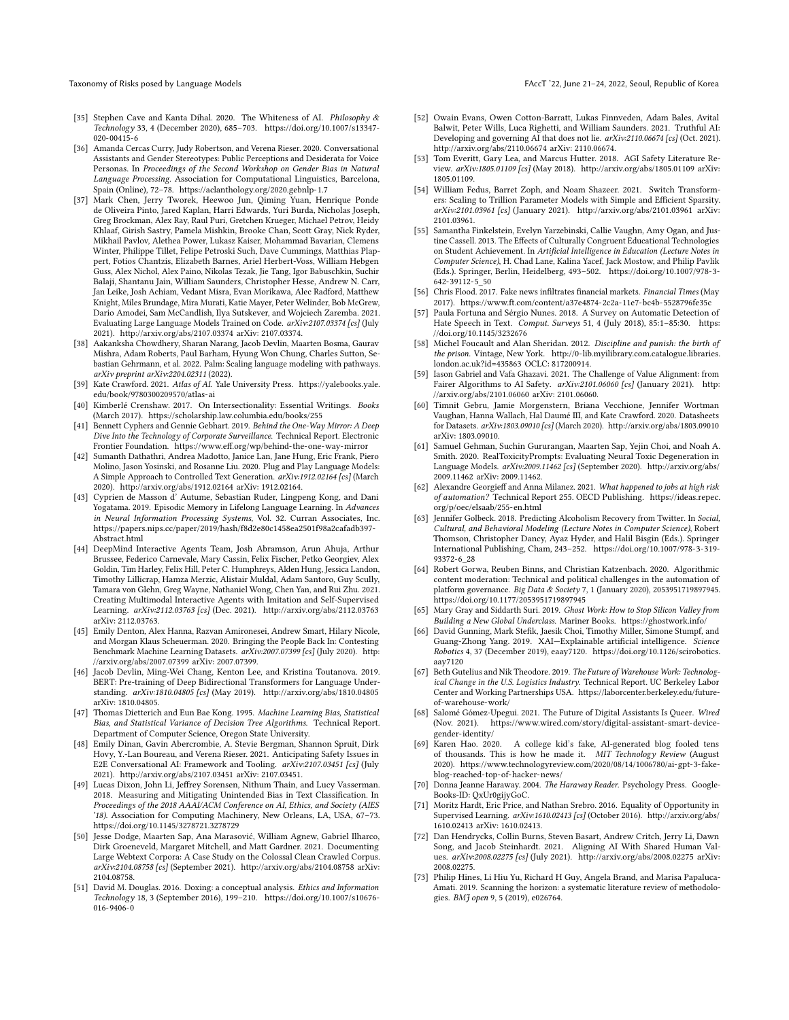- <span id="page-10-33"></span>[35] Stephen Cave and Kanta Dihal. 2020. The Whiteness of AI. Philosophy & Technology 33, 4 (December 2020), 685–703. [https://doi.org/10.1007/s13347-](https://doi.org/10.1007/s13347-020-00415-6) [020-00415-6](https://doi.org/10.1007/s13347-020-00415-6)
- <span id="page-10-32"></span>[36] Amanda Cercas Curry, Judy Robertson, and Verena Rieser. 2020. Conversational Assistants and Gender Stereotypes: Public Perceptions and Desiderata for Voice Personas. In Proceedings of the Second Workshop on Gender Bias in Natural Language Processing. Association for Computational Linguistics, Barcelona, Spain (Online), 72–78.<https://aclanthology.org/2020.gebnlp-1.7>
- <span id="page-10-2"></span>[37] Mark Chen, Jerry Tworek, Heewoo Jun, Qiming Yuan, Henrique Ponde de Oliveira Pinto, Jared Kaplan, Harri Edwards, Yuri Burda, Nicholas Joseph, Greg Brockman, Alex Ray, Raul Puri, Gretchen Krueger, Michael Petrov, Heidy Khlaaf, Girish Sastry, Pamela Mishkin, Brooke Chan, Scott Gray, Nick Ryder, Mikhail Pavlov, Alethea Power, Lukasz Kaiser, Mohammad Bavarian, Clemens Winter, Philippe Tillet, Felipe Petroski Such, Dave Cummings, Matthias Plappert, Fotios Chantzis, Elizabeth Barnes, Ariel Herbert-Voss, William Hebgen Guss, Alex Nichol, Alex Paino, Nikolas Tezak, Jie Tang, Igor Babuschkin, Suchir Balaji, Shantanu Jain, William Saunders, Christopher Hesse, Andrew N. Carr, Jan Leike, Josh Achiam, Vedant Misra, Evan Morikawa, Alec Radford, Matthew Knight, Miles Brundage, Mira Murati, Katie Mayer, Peter Welinder, Bob McGrew, Dario Amodei, Sam McCandlish, Ilya Sutskever, and Wojciech Zaremba. 2021. Evaluating Large Language Models Trained on Code. arXiv:2107.03374 [cs] (July 2021).<http://arxiv.org/abs/2107.03374> arXiv: 2107.03374.
- <span id="page-10-9"></span>[38] Aakanksha Chowdhery, Sharan Narang, Jacob Devlin, Maarten Bosma, Gaurav Mishra, Adam Roberts, Paul Barham, Hyung Won Chung, Charles Sutton, Sebastian Gehrmann, et al. 2022. Palm: Scaling language modeling with pathways. arXiv preprint arXiv:2204.02311 (2022).
- <span id="page-10-5"></span>[39] Kate Crawford. 2021. Atlas of AI. Yale University Press. [https://yalebooks.yale.](https://yalebooks.yale.edu/book/9780300209570/atlas-ai) [edu/book/9780300209570/atlas-ai](https://yalebooks.yale.edu/book/9780300209570/atlas-ai)
- <span id="page-10-12"></span>[40] Kimberlé Crenshaw. 2017. On Intersectionality: Essential Writings. Books (March 2017).<https://scholarship.law.columbia.edu/books/255>
- <span id="page-10-31"></span>[41] Bennett Cyphers and Gennie Gebhart. 2019. Behind the One-Way Mirror: A Deep Dive Into the Technology of Corporate Surveillance. Technical Report. Electronic Frontier Foundation.<https://www.eff.org/wp/behind-the-one-way-mirror>
- <span id="page-10-8"></span>[42] Sumanth Dathathri, Andrea Madotto, Janice Lan, Jane Hung, Eric Frank, Piero Molino, Jason Yosinski, and Rosanne Liu. 2020. Plug and Play Language Models: A Simple Approach to Controlled Text Generation. arXiv:1912.02164 [cs] (March 2020).<http://arxiv.org/abs/1912.02164> arXiv: 1912.02164.
- <span id="page-10-22"></span>[43] Cyprien de Masson d' Autume, Sebastian Ruder, Lingpeng Kong, and Dani Yogatama. 2019. Episodic Memory in Lifelong Language Learning. In Advances in Neural Information Processing Systems, Vol. 32. Curran Associates, Inc. [https://papers.nips.cc/paper/2019/hash/f8d2e80c1458ea2501f98a2cafadb397-](https://papers.nips.cc/paper/2019/hash/f8d2e80c1458ea2501f98a2cafadb397-Abstract.html) [Abstract.html](https://papers.nips.cc/paper/2019/hash/f8d2e80c1458ea2501f98a2cafadb397-Abstract.html)
- <span id="page-10-7"></span>[44] DeepMind Interactive Agents Team, Josh Abramson, Arun Ahuja, Arthur Brussee, Federico Carnevale, Mary Cassin, Felix Fischer, Petko Georgiev, Alex Goldin, Tim Harley, Felix Hill, Peter C. Humphreys, Alden Hung, Jessica Landon, Timothy Lillicrap, Hamza Merzic, Alistair Muldal, Adam Santoro, Guy Scully, Tamara von Glehn, Greg Wayne, Nathaniel Wong, Chen Yan, and Rui Zhu. 2021. Creating Multimodal Interactive Agents with Imitation and Self-Supervised Learning. arXiv:2112.03763 [cs] (Dec. 2021).<http://arxiv.org/abs/2112.03763> arXiv: 2112.03763.
- <span id="page-10-15"></span>[45] Emily Denton, Alex Hanna, Razvan Amironesei, Andrew Smart, Hilary Nicole, and Morgan Klaus Scheuerman. 2020. Bringing the People Back In: Contesting Benchmark Machine Learning Datasets. arXiv:2007.07399 [cs] (July 2020). [http:](http://arxiv.org/abs/2007.07399) [//arxiv.org/abs/2007.07399](http://arxiv.org/abs/2007.07399) arXiv: 2007.07399.
- <span id="page-10-0"></span>[46] Jacob Devlin, Ming-Wei Chang, Kenton Lee, and Kristina Toutanova. 2019. BERT: Pre-training of Deep Bidirectional Transformers for Language Understanding. arXiv:1810.04805 [cs] (May 2019).<http://arxiv.org/abs/1810.04805> arXiv: 1810.04805.
- <span id="page-10-37"></span>[47] Thomas Dietterich and Eun Bae Kong. 1995. Machine Learning Bias, Statistical Bias, and Statistical Variance of Decision Tree Algorithms. Technical Report. Department of Computer Science, Oregon State University.
- <span id="page-10-1"></span>[48] Emily Dinan, Gavin Abercrombie, A. Stevie Bergman, Shannon Spruit, Dirk Hovy, Y.-Lan Boureau, and Verena Rieser. 2021. Anticipating Safety Issues in E2E Conversational AI: Framework and Tooling. arXiv:2107.03451 [cs] (July 2021).<http://arxiv.org/abs/2107.03451> arXiv: 2107.03451.
- <span id="page-10-19"></span>[49] Lucas Dixon, John Li, Jeffrey Sorensen, Nithum Thain, and Lucy Vasserman. 2018. Measuring and Mitigating Unintended Bias in Text Classification. In Proceedings of the 2018 AAAI/ACM Conference on AI, Ethics, and Society (AIES '18). Association for Computing Machinery, New Orleans, LA, USA, 67–73. <https://doi.org/10.1145/3278721.3278729>
- <span id="page-10-13"></span>[50] Jesse Dodge, Maarten Sap, Ana Marasović, William Agnew, Gabriel Ilharco, Dirk Groeneveld, Margaret Mitchell, and Matt Gardner. 2021. Documenting Large Webtext Corpora: A Case Study on the Colossal Clean Crawled Corpus. arXiv:2104.08758 [cs] (September 2021).<http://arxiv.org/abs/2104.08758> arXiv: 2104.08758.
- <span id="page-10-25"></span>[51] David M. Douglas. 2016. Doxing: a conceptual analysis. Ethics and Information Technology 18, 3 (September 2016), 199–210. [https://doi.org/10.1007/s10676-](https://doi.org/10.1007/s10676-016-9406-0) [016-9406-0](https://doi.org/10.1007/s10676-016-9406-0)
- <span id="page-10-27"></span>[52] Owain Evans, Owen Cotton-Barratt, Lukas Finnveden, Adam Bales, Avital Balwit, Peter Wills, Luca Righetti, and William Saunders. 2021. Truthful AI: Developing and governing AI that does not lie. arXiv:2110.06674 [cs] (Oct. 2021). <http://arxiv.org/abs/2110.06674> arXiv: 2110.06674.
- <span id="page-10-6"></span>[53] Tom Everitt, Gary Lea, and Marcus Hutter. 2018. AGI Safety Literature Review. arXiv:1805.01109 [cs] (May 2018).<http://arxiv.org/abs/1805.01109> arXiv: 1805.01109.
- <span id="page-10-23"></span>[54] William Fedus, Barret Zoph, and Noam Shazeer. 2021. Switch Transformers: Scaling to Trillion Parameter Models with Simple and Efficient Sparsity. arXiv:2101.03961 [cs] (January 2021).<http://arxiv.org/abs/2101.03961> arXiv: 2101.03961.
- <span id="page-10-24"></span>[55] Samantha Finkelstein, Evelyn Yarzebinski, Callie Vaughn, Amy Ogan, and Justine Cassell. 2013. The Effects of Culturally Congruent Educational Technologies on Student Achievement. In Artificial Intelligence in Education (Lecture Notes in Computer Science), H. Chad Lane, Kalina Yacef, Jack Mostow, and Philip Pavlik (Eds.). Springer, Berlin, Heidelberg, 493–502. [https://doi.org/10.1007/978-3-](https://doi.org/10.1007/978-3-642-39112-5_50) [642-39112-5\\_50](https://doi.org/10.1007/978-3-642-39112-5_50)
- <span id="page-10-29"></span>[56] Chris Flood. 2017. Fake news infiltrates financial markets. Financial Times (May 2017).<https://www.ft.com/content/a37e4874-2c2a-11e7-bc4b-5528796fe35c>
- <span id="page-10-10"></span>[57] Paula Fortuna and Sérgio Nunes. 2018. A Survey on Automatic Detection of Hate Speech in Text. Comput. Surveys 51, 4 (July 2018), 85:1-85:30. [https:](https://doi.org/10.1145/3232676) [//doi.org/10.1145/3232676](https://doi.org/10.1145/3232676)
- <span id="page-10-11"></span>[58] Michel Foucault and Alan Sheridan. 2012. Discipline and punish: the birth of the prison. Vintage, New York. [http://0-lib.myilibrary.com.catalogue.libraries.](http://0-lib.myilibrary.com.catalogue.libraries.london.ac.uk?id=435863) [london.ac.uk?id=435863](http://0-lib.myilibrary.com.catalogue.libraries.london.ac.uk?id=435863) OCLC: 817200914.
- <span id="page-10-21"></span>[59] Iason Gabriel and Vafa Ghazavi. 2021. The Challenge of Value Alignment: from Fairer Algorithms to AI Safety. arXiv:2101.06060 [cs] (January 2021). [http:](http://arxiv.org/abs/2101.06060) [//arxiv.org/abs/2101.06060](http://arxiv.org/abs/2101.06060) arXiv: 2101.06060.
- <span id="page-10-14"></span>[60] Timnit Gebru, Jamie Morgenstern, Briana Vecchione, Jennifer Wortman Vaughan, Hanna Wallach, Hal Daumé III, and Kate Crawford. 2020. Datasheets for Datasets. arXiv:1803.09010 [cs] (March 2020).<http://arxiv.org/abs/1803.09010> arXiv: 1803.09010.
- <span id="page-10-18"></span>[61] Samuel Gehman, Suchin Gururangan, Maarten Sap, Yejin Choi, and Noah A. Smith. 2020. RealToxicityPrompts: Evaluating Neural Toxic Degeneration in Language Models. arXiv:2009.11462 [cs] (September 2020). [http://arxiv.org/abs/](http://arxiv.org/abs/2009.11462) [2009.11462](http://arxiv.org/abs/2009.11462) arXiv: 2009.11462.
- <span id="page-10-35"></span>[62] Alexandre Georgieff and Anna Milanez. 2021. What happened to jobs at high risk of automation? Technical Report 255. OECD Publishing. [https://ideas.repec.](https://ideas.repec.org/p/oec/elsaab/255-en.html) [org/p/oec/elsaab/255-en.html](https://ideas.repec.org/p/oec/elsaab/255-en.html)
- <span id="page-10-26"></span>[63] Jennifer Golbeck. 2018. Predicting Alcoholism Recovery from Twitter. In Social, Cultural, and Behavioral Modeling (Lecture Notes in Computer Science), Robert Thomson, Christopher Dancy, Ayaz Hyder, and Halil Bisgin (Eds.). Springer International Publishing, Cham, 243–252. [https://doi.org/10.1007/978-3-319-](https://doi.org/10.1007/978-3-319-93372-6_28) [93372-6\\_28](https://doi.org/10.1007/978-3-319-93372-6_28)
- <span id="page-10-17"></span>[64] Robert Gorwa, Reuben Binns, and Christian Katzenbach. 2020. Algorithmic content moderation: Technical and political challenges in the automation of platform governance. Big Data & Society 7, 1 (January 2020), 2053951719897945. <https://doi.org/10.1177/2053951719897945>
- <span id="page-10-4"></span>[65] Mary Gray and Siddarth Suri. 2019. Ghost Work: How to Stop Silicon Valley from Building a New Global Underclass. Mariner Books.<https://ghostwork.info/>
- <span id="page-10-16"></span>[66] David Gunning, Mark Stefik, Jaesik Choi, Timothy Miller, Simone Stumpf, and Guang-Zhong Yang. 2019. XAI—Explainable artificial intelligence. Science Robotics 4, 37 (December 2019), eaay7120. [https://doi.org/10.1126/scirobotics.](https://doi.org/10.1126/scirobotics.aay7120) [aay7120](https://doi.org/10.1126/scirobotics.aay7120)
- <span id="page-10-36"></span>[67] Beth Gutelius and Nik Theodore. 2019. The Future of Warehouse Work: Technological Change in the U.S. Logistics Industry. Technical Report. UC Berkeley Labor Center and Working Partnerships USA. [https://laborcenter.berkeley.edu/future](https://laborcenter.berkeley.edu/future-of-warehouse-work/)[of-warehouse-work/](https://laborcenter.berkeley.edu/future-of-warehouse-work/)
- <span id="page-10-34"></span>[68] Salomé Gómez-Upegui. 2021. The Future of Digital Assistants Is Queer. Wired (Nov. 2021). [https://www.wired.com/story/digital-assistant-smart-device](https://www.wired.com/story/digital-assistant-smart-device-gender-identity/)[gender-identity/](https://www.wired.com/story/digital-assistant-smart-device-gender-identity/)<br>[69] Karen Hao. 2020.
- <span id="page-10-30"></span>A college kid's fake, AI-generated blog fooled tens of thousands. This is how he made it. MIT Technology Review (August 2020). [https://www.technologyreview.com/2020/08/14/1006780/ai-gpt-3-fake](https://www.technologyreview.com/2020/08/14/1006780/ai-gpt-3-fake-blog-reached-top-of-hacker-news/)[blog-reached-top-of-hacker-news/](https://www.technologyreview.com/2020/08/14/1006780/ai-gpt-3-fake-blog-reached-top-of-hacker-news/)
- <span id="page-10-20"></span>[70] Donna Jeanne Haraway. 2004. The Haraway Reader. Psychology Press. Google-Books-ID: QxUr0gijyGoC.
- <span id="page-10-38"></span>[71] Moritz Hardt, Eric Price, and Nathan Srebro. 2016. Equality of Opportunity in Supervised Learning. arXiv:1610.02413 [cs] (October 2016). [http://arxiv.org/abs/](http://arxiv.org/abs/1610.02413) [1610.02413](http://arxiv.org/abs/1610.02413) arXiv: 1610.02413.
- <span id="page-10-28"></span>[72] Dan Hendrycks, Collin Burns, Steven Basart, Andrew Critch, Jerry Li, Dawn Song, and Jacob Steinhardt. 2021. Aligning AI With Shared Human Values. arXiv:2008.02275 [cs] (July 2021).<http://arxiv.org/abs/2008.02275> arXiv: 2008.02275.
- <span id="page-10-3"></span>[73] Philip Hines, Li Hiu Yu, Richard H Guy, Angela Brand, and Marisa Papaluca-Amati. 2019. Scanning the horizon: a systematic literature review of methodologies. BMJ open 9, 5 (2019), e026764.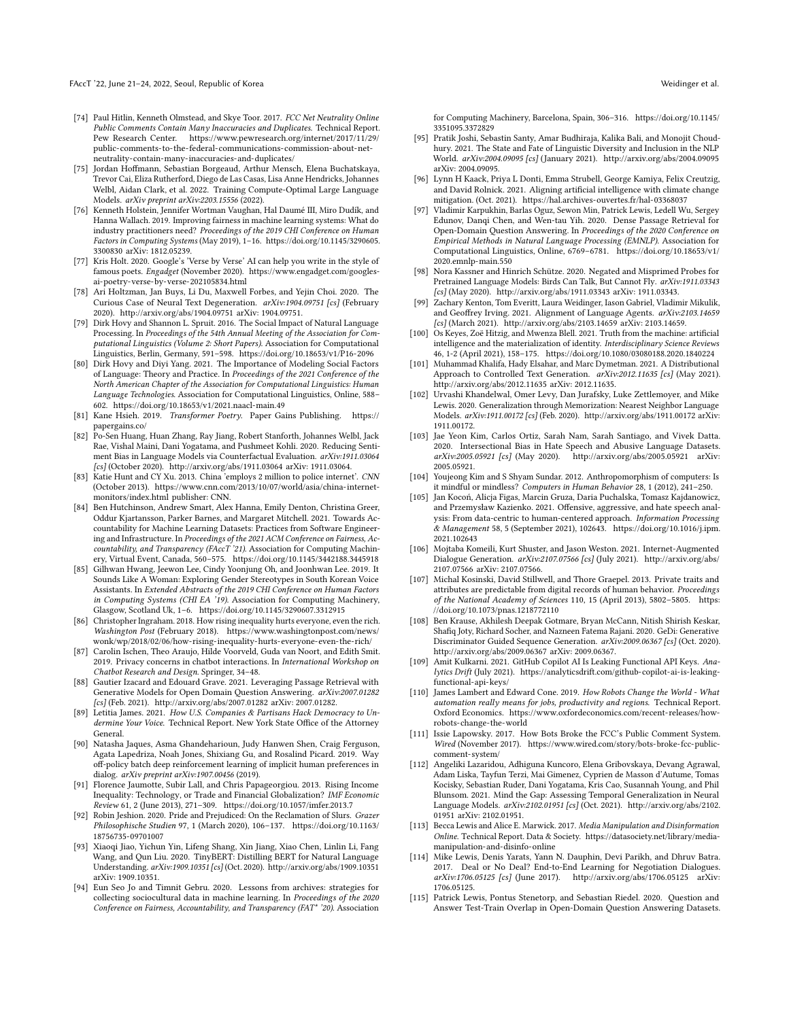- <span id="page-11-26"></span>[74] Paul Hitlin, Kenneth Olmstead, and Skye Toor. 2017. FCC Net Neutrality Online Public Comments Contain Many Inaccuracies and Duplicates. Technical Report. Pew Research Center. [https://www.pewresearch.org/internet/2017/11/29/](https://www.pewresearch.org/internet/2017/11/29/public-comments-to-the-federal-communications-commission-about-net-neutrality-contain-many-inaccuracies-and-duplicates/) [public-comments-to-the-federal-communications-commission-about-net](https://www.pewresearch.org/internet/2017/11/29/public-comments-to-the-federal-communications-commission-about-net-neutrality-contain-many-inaccuracies-and-duplicates/)[neutrality-contain-many-inaccuracies-and-duplicates/](https://www.pewresearch.org/internet/2017/11/29/public-comments-to-the-federal-communications-commission-about-net-neutrality-contain-many-inaccuracies-and-duplicates/)
- <span id="page-11-2"></span>[75] Jordan Hoffmann, Sebastian Borgeaud, Arthur Mensch, Elena Buchatskaya, Trevor Cai, Eliza Rutherford, Diego de Las Casas, Lisa Anne Hendricks, Johannes Welbl, Aidan Clark, et al. 2022. Training Compute-Optimal Large Language Models. arXiv preprint arXiv:2203.15556 (2022).
- <span id="page-11-3"></span>[76] Kenneth Holstein, Jennifer Wortman Vaughan, Hal Daumé III, Miro Dudík, and Hanna Wallach. 2019. Improving fairness in machine learning systems: What do industry practitioners need? Proceedings of the 2019 CHI Conference on Human Factors in Computing Systems (May 2019), 1–16. [https://doi.org/10.1145/3290605.](https://doi.org/10.1145/3290605.3300830) [3300830](https://doi.org/10.1145/3290605.3300830) arXiv: 1812.05239.
- <span id="page-11-39"></span>[77] Kris Holt. 2020. Google's 'Verse by Verse' AI can help you write in the style of famous poets. Engadget (November 2020). [https://www.engadget.com/googles](https://www.engadget.com/googles-ai-poetry-verse-by-verse-202105834.html)[ai-poetry-verse-by-verse-202105834.html](https://www.engadget.com/googles-ai-poetry-verse-by-verse-202105834.html)
- <span id="page-11-41"></span>[78] Ari Holtzman, Jan Buys, Li Du, Maxwell Forbes, and Yejin Choi. 2020. The Curious Case of Neural Text Degeneration. arXiv:1904.09751 [cs] (February 2020).<http://arxiv.org/abs/1904.09751> arXiv: 1904.09751.
- <span id="page-11-21"></span>[79] Dirk Hovy and Shannon L. Spruit. 2016. The Social Impact of Natural Language Processing. In Proceedings of the 54th Annual Meeting of the Association for Computational Linguistics (Volume 2: Short Papers). Association for Computational Linguistics, Berlin, Germany, 591–598.<https://doi.org/10.18653/v1/P16-2096>
- <span id="page-11-10"></span>[80] Dirk Hovy and Diyi Yang. 2021. The Importance of Modeling Social Factors of Language: Theory and Practice. In Proceedings of the 2021 Conference of the North American Chapter of the Association for Computational Linguistics: Human Language Technologies. Association for Computational Linguistics, Online, 588– 602.<https://doi.org/10.18653/v1/2021.naacl-main.49>
- <span id="page-11-38"></span>[81] Kane Hsieh. 2019. Transformer Poetry. Paper Gains Publishing. [https://](https://papergains.co/) [papergains.co/](https://papergains.co/)
- <span id="page-11-4"></span>[82] Po-Sen Huang, Huan Zhang, Ray Jiang, Robert Stanforth, Johannes Welbl, Jack Rae, Vishal Maini, Dani Yogatama, and Pushmeet Kohli. 2020. Reducing Sentiment Bias in Language Models via Counterfactual Evaluation. arXiv:1911.03064 [cs] (October 2020).<http://arxiv.org/abs/1911.03064> arXiv: 1911.03064.
- <span id="page-11-29"></span>[83] Katie Hunt and CY Xu. 2013. China 'employs 2 million to police internet'. CNN (October 2013). [https://www.cnn.com/2013/10/07/world/asia/china-internet](https://www.cnn.com/2013/10/07/world/asia/china-internet-monitors/index.html)[monitors/index.html](https://www.cnn.com/2013/10/07/world/asia/china-internet-monitors/index.html) publisher: CNN.
- <span id="page-11-5"></span>[84] Ben Hutchinson, Andrew Smart, Alex Hanna, Emily Denton, Christina Greer, Oddur Kjartansson, Parker Barnes, and Margaret Mitchell. 2021. Towards Accountability for Machine Learning Datasets: Practices from Software Engineering and Infrastructure. In Proceedings of the 2021 ACM Conference on Fairness, Accountability, and Transparency (FAccT '21). Association for Computing Machinery, Virtual Event, Canada, 560–575.<https://doi.org/10.1145/3442188.3445918>
- <span id="page-11-30"></span>[85] Gilhwan Hwang, Jeewon Lee, Cindy Yoonjung Oh, and Joonhwan Lee. 2019. It Sounds Like A Woman: Exploring Gender Stereotypes in South Korean Voice Assistants. In Extended Abstracts of the 2019 CHI Conference on Human Factors in Computing Systems (CHI EA '19). Association for Computing Machinery, Glasgow, Scotland Uk, 1–6.<https://doi.org/10.1145/3290607.3312915>
- <span id="page-11-37"></span>[86] Christopher Ingraham. 2018. How rising inequality hurts everyone, even the rich. Washington Post (February 2018). [https://www.washingtonpost.com/news/](https://www.washingtonpost.com/news/wonk/wp/2018/02/06/how-rising-inequality-hurts-everyone-even-the-rich/) [wonk/wp/2018/02/06/how-rising-inequality-hurts-everyone-even-the-rich/](https://www.washingtonpost.com/news/wonk/wp/2018/02/06/how-rising-inequality-hurts-everyone-even-the-rich/)
- <span id="page-11-31"></span>[87] Carolin Ischen, Theo Araujo, Hilde Voorveld, Guda van Noort, and Edith Smit. 2019. Privacy concerns in chatbot interactions. In International Workshop on Chatbot Research and Design. Springer, 34–48.
- <span id="page-11-16"></span>[88] Gautier Izacard and Edouard Grave. 2021. Leveraging Passage Retrieval with Generative Models for Open Domain Question Answering. arXiv:2007.01282 [cs] (Feb. 2021).<http://arxiv.org/abs/2007.01282> arXiv: 2007.01282.
- <span id="page-11-27"></span>[89] Letitia James. 2021. How U.S. Companies & Partisans Hack Democracy to Undermine Your Voice. Technical Report. New York State Office of the Attorney General.
- <span id="page-11-1"></span>[90] Natasha Jaques, Asma Ghandeharioun, Judy Hanwen Shen, Craig Ferguson, Agata Lapedriza, Noah Jones, Shixiang Gu, and Rosalind Picard. 2019. Way off-policy batch deep reinforcement learning of implicit human preferences in dialog. arXiv preprint arXiv:1907.00456 (2019).
- <span id="page-11-40"></span>[91] Florence Jaumotte, Subir Lall, and Chris Papageorgiou. 2013. Rising Income Inequality: Technology, or Trade and Financial Globalization? IMF Economic Review 61, 2 (June 2013), 271–309.<https://doi.org/10.1057/imfer.2013.7>
- <span id="page-11-11"></span>[92] Robin Jeshion. 2020. Pride and Prejudiced: On the Reclamation of Slurs. Grazer Philosophische Studien 97, 1 (March 2020), 106–137. [https://doi.org/10.1163/](https://doi.org/10.1163/18756735-09701007) [18756735-09701007](https://doi.org/10.1163/18756735-09701007)
- <span id="page-11-35"></span>[93] Xiaoqi Jiao, Yichun Yin, Lifeng Shang, Xin Jiang, Xiao Chen, Linlin Li, Fang Wang, and Qun Liu. 2020. TinyBERT: Distilling BERT for Natural Language Understanding. arXiv:1909.10351 [cs] (Oct. 2020).<http://arxiv.org/abs/1909.10351> arXiv: 1909.10351.
- <span id="page-11-6"></span>[94] Eun Seo Jo and Timnit Gebru. 2020. Lessons from archives: strategies for collecting sociocultural data in machine learning. In Proceedings of the 2020 Conference on Fairness, Accountability, and Transparency (FAT\* '20). Association

for Computing Machinery, Barcelona, Spain, 306–316. [https://doi.org/10.1145/](https://doi.org/10.1145/3351095.3372829) [3351095.3372829](https://doi.org/10.1145/3351095.3372829)

- <span id="page-11-20"></span>[95] Pratik Joshi, Sebastin Santy, Amar Budhiraja, Kalika Bali, and Monojit Choudhury. 2021. The State and Fate of Linguistic Diversity and Inclusion in the NLP World. arXiv:2004.09095 [cs] (January 2021).<http://arxiv.org/abs/2004.09095> arXiv: 2004.09095.
- <span id="page-11-34"></span>[96] Lynn H Kaack, Priya L Donti, Emma Strubell, George Kamiya, Felix Creutzig, and David Rolnick. 2021. Aligning artificial intelligence with climate change mitigation. (Oct. 2021).<https://hal.archives-ouvertes.fr/hal-03368037>
- <span id="page-11-17"></span>[97] Vladimir Karpukhin, Barlas Oguz, Sewon Min, Patrick Lewis, Ledell Wu, Sergey Edunov, Danqi Chen, and Wen-tau Yih. 2020. Dense Passage Retrieval for Open-Domain Question Answering. In Proceedings of the 2020 Conference on Empirical Methods in Natural Language Processing (EMNLP). Association for Computational Linguistics, Online, 6769–6781. [https://doi.org/10.18653/v1/](https://doi.org/10.18653/v1/2020.emnlp-main.550) [2020.emnlp-main.550](https://doi.org/10.18653/v1/2020.emnlp-main.550)
- <span id="page-11-24"></span>[98] Nora Kassner and Hinrich Schütze. 2020. Negated and Misprimed Probes for Pretrained Language Models: Birds Can Talk, But Cannot Fly. arXiv:1911.03343 [cs] (May 2020).<http://arxiv.org/abs/1911.03343> arXiv: 1911.03343.
- <span id="page-11-0"></span>[99] Zachary Kenton, Tom Everitt, Laura Weidinger, Iason Gabriel, Vladimir Mikulik, and Geoffrey Irving. 2021. Alignment of Language Agents. arXiv:2103.14659 [cs] (March 2021).<http://arxiv.org/abs/2103.14659> arXiv: 2103.14659.
- <span id="page-11-13"></span>[100] Os Keyes, Zoë Hitzig, and Mwenza Blell. 2021. Truth from the machine: artificial intelligence and the materialization of identity. Interdisciplinary Science Reviews 46, 1-2 (April 2021), 158–175.<https://doi.org/10.1080/03080188.2020.1840224>
- <span id="page-11-7"></span>[101] Muhammad Khalifa, Hady Elsahar, and Marc Dymetman. 2021. A Distributional Approach to Controlled Text Generation. arXiv:2012.11635 [cs] (May 2021). <http://arxiv.org/abs/2012.11635> arXiv: 2012.11635.
- <span id="page-11-18"></span>[102] Urvashi Khandelwal, Omer Levy, Dan Jurafsky, Luke Zettlemoyer, and Mike Lewis. 2020. Generalization through Memorization: Nearest Neighbor Language Models. arXiv:1911.00172 [cs] (Feb. 2020).<http://arxiv.org/abs/1911.00172> arXiv: 1911.00172.
- <span id="page-11-9"></span>[103] Jae Yeon Kim, Carlos Ortiz, Sarah Nam, Sarah Santiago, and Vivek Datta. 2020. Intersectional Bias in Hate Speech and Abusive Language Datasets.  $arXiv: 2005.05921$  [cs] (May 2020). http://arxiv.org/abs/2005.05921 arXiv: http://arxiv.org/abs/2005.05921 arXiv: 2005.05921.
- <span id="page-11-33"></span>[104] Youjeong Kim and S Shyam Sundar. 2012. Anthropomorphism of computers: Is it mindful or mindless? Computers in Human Behavior 28, 1 (2012), 241–250.
- <span id="page-11-12"></span>[105] Jan Kocoń, Alicja Figas, Marcin Gruza, Daria Puchalska, Tomasz Kajdanowicz, and Przemysław Kazienko. 2021. Offensive, aggressive, and hate speech analysis: From data-centric to human-centered approach. Information Processing & Management 58, 5 (September 2021), 102643. [https://doi.org/10.1016/j.ipm.](https://doi.org/10.1016/j.ipm.2021.102643) [2021.102643](https://doi.org/10.1016/j.ipm.2021.102643)
- <span id="page-11-14"></span>[106] Mojtaba Komeili, Kurt Shuster, and Jason Weston. 2021. Internet-Augmented Dialogue Generation. arXiv:2107.07566 [cs] (July 2021). [http://arxiv.org/abs/](http://arxiv.org/abs/2107.07566) [2107.07566](http://arxiv.org/abs/2107.07566) arXiv: 2107.07566.
- <span id="page-11-23"></span>[107] Michal Kosinski, David Stillwell, and Thore Graepel. 2013. Private traits and attributes are predictable from digital records of human behavior. Proceedings of the National Academy of Sciences 110, 15 (April 2013), 5802–5805. [https:](https://doi.org/10.1073/pnas.1218772110) [//doi.org/10.1073/pnas.1218772110](https://doi.org/10.1073/pnas.1218772110)
- <span id="page-11-8"></span>[108] Ben Krause, Akhilesh Deepak Gotmare, Bryan McCann, Nitish Shirish Keskar, Shafiq Joty, Richard Socher, and Nazneen Fatema Rajani. 2020. GeDi: Generative Discriminator Guided Sequence Generation. arXiv:2009.06367 [cs] (Oct. 2020). <http://arxiv.org/abs/2009.06367> arXiv: 2009.06367.
- <span id="page-11-22"></span>[109] Amit Kulkarni. 2021. GitHub Copilot AI Is Leaking Functional API Keys. Analytics Drift (July 2021). [https://analyticsdrift.com/github-copilot-ai-is-leaking](https://analyticsdrift.com/github-copilot-ai-is-leaking-functional-api-keys/)[functional-api-keys/](https://analyticsdrift.com/github-copilot-ai-is-leaking-functional-api-keys/)
- <span id="page-11-36"></span>[110] James Lambert and Edward Cone. 2019. How Robots Change the World - What automation really means for jobs, productivity and regions. Technical Report. Oxford Economics. [https://www.oxfordeconomics.com/recent-releases/how](https://www.oxfordeconomics.com/recent-releases/how-robots-change-the-world)[robots-change-the-world](https://www.oxfordeconomics.com/recent-releases/how-robots-change-the-world)
- <span id="page-11-28"></span>[111] Issie Lapowsky. 2017. How Bots Broke the FCC's Public Comment System. Wired (November 2017). [https://www.wired.com/story/bots-broke-fcc-public](https://www.wired.com/story/bots-broke-fcc-public-comment-system/)[comment-system/](https://www.wired.com/story/bots-broke-fcc-public-comment-system/)
- <span id="page-11-15"></span>[112] Angeliki Lazaridou, Adhiguna Kuncoro, Elena Gribovskaya, Devang Agrawal, Adam Liska, Tayfun Terzi, Mai Gimenez, Cyprien de Masson d'Autume, Tomas Kocisky, Sebastian Ruder, Dani Yogatama, Kris Cao, Susannah Young, and Phil Blunsom. 2021. Mind the Gap: Assessing Temporal Generalization in Neural Language Models. arXiv:2102.01951 [cs] (Oct. 2021). [http://arxiv.org/abs/2102.](http://arxiv.org/abs/2102.01951) [01951](http://arxiv.org/abs/2102.01951) arXiv: 2102.01951.
- <span id="page-11-25"></span>[113] Becca Lewis and Alice E. Marwick. 2017. Media Manipulation and Disinformation Online. Technical Report. Data & Society. [https://datasociety.net/library/media](https://datasociety.net/library/media-manipulation-and-disinfo-online)[manipulation-and-disinfo-online](https://datasociety.net/library/media-manipulation-and-disinfo-online)
- <span id="page-11-32"></span>[114] Mike Lewis, Denis Yarats, Yann N. Dauphin, Devi Parikh, and Dhruv Batra. 2017. Deal or No Deal? End-to-End Learning for Negotiation Dialogues. arXiv:1706.05125 [cs] (June 2017). http://arxiv.org/abs/1706.05125 arXiv: http://arxiv.org/abs/1706.05125 arXiv: 1706.05125.
- <span id="page-11-19"></span>[115] Patrick Lewis, Pontus Stenetorp, and Sebastian Riedel. 2020. Question and Answer Test-Train Overlap in Open-Domain Question Answering Datasets.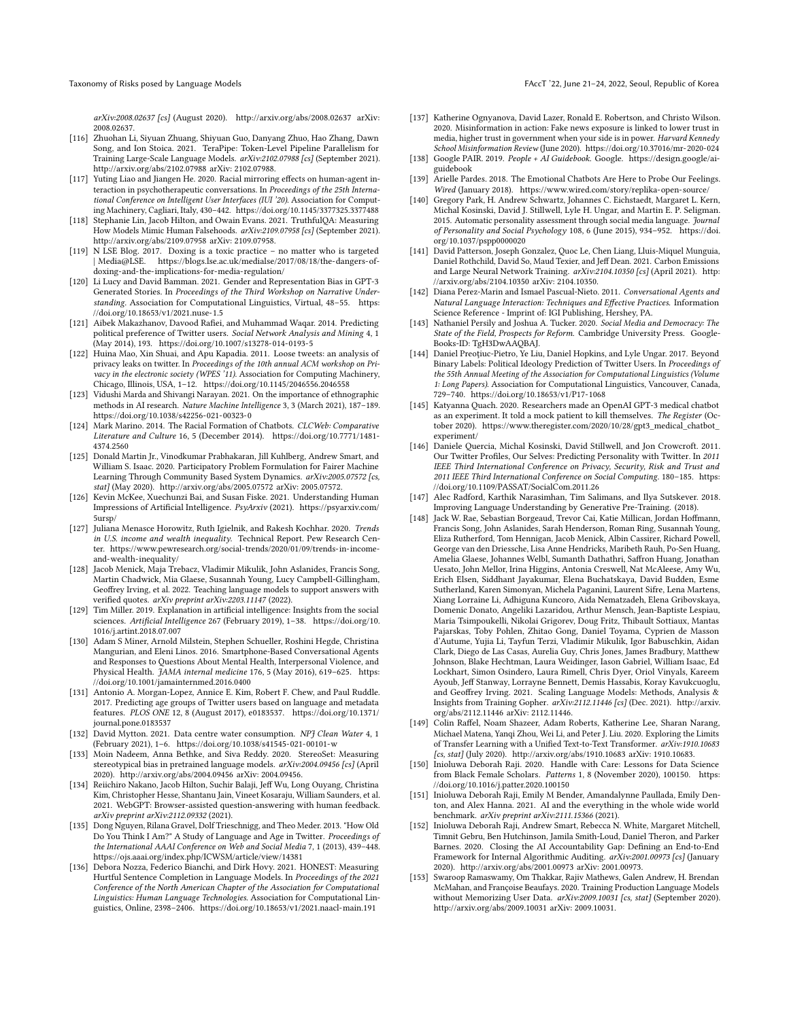Taxonomy of Risks posed by Language Models **FACCT is a set of Containing the CT** <sup>1</sup>22, June 21–24, 2022, Seoul, Republic of Korea

arXiv:2008.02637 [cs] (August 2020).<http://arxiv.org/abs/2008.02637> arXiv: 2008.02637.

- <span id="page-12-15"></span>[116] Zhuohan Li, Siyuan Zhuang, Shiyuan Guo, Danyang Zhuo, Hao Zhang, Dawn Song, and Ion Stoica. 2021. TeraPipe: Token-Level Pipeline Parallelism for Training Large-Scale Language Models. arXiv:2102.07988 [cs] (September 2021). <http://arxiv.org/abs/2102.07988> arXiv: 2102.07988.
- <span id="page-12-28"></span>[117] Yuting Liao and Jiangen He. 2020. Racial mirroring effects on human-agent interaction in psychotherapeutic conversations. In Proceedings of the 25th International Conference on Intelligent User Interfaces (IUI '20). Association for Computing Machinery, Cagliari, Italy, 430–442.<https://doi.org/10.1145/3377325.3377488>
- <span id="page-12-25"></span>[118] Stephanie Lin, Jacob Hilton, and Owain Evans. 2021. TruthfulQA: Measuring How Models Mimic Human Falsehoods. arXiv:2109.07958 [cs] (September 2021). <http://arxiv.org/abs/2109.07958> arXiv: 2109.07958.
- <span id="page-12-13"></span>[119] N LSE Blog. 2017. Doxing is a toxic practice – no matter who is targeted | Media@LSE. [https://blogs.lse.ac.uk/medialse/2017/08/18/the-dangers-of](https://blogs.lse.ac.uk/medialse/2017/08/18/the-dangers-of-doxing-and-the-implications-for-media-regulation/)[doxing-and-the-implications-for-media-regulation/](https://blogs.lse.ac.uk/medialse/2017/08/18/the-dangers-of-doxing-and-the-implications-for-media-regulation/)
- <span id="page-12-4"></span>[120] Li Lucy and David Bamman. 2021. Gender and Representation Bias in GPT-3 Generated Stories. In Proceedings of the Third Workshop on Narrative Understanding. Association for Computational Linguistics, Virtual, 48–55. [https:](https://doi.org/10.18653/v1/2021.nuse-1.5) [//doi.org/10.18653/v1/2021.nuse-1.5](https://doi.org/10.18653/v1/2021.nuse-1.5)
- <span id="page-12-18"></span>[121] Aibek Makazhanov, Davood Rafiei, and Muhammad Waqar. 2014. Predicting political preference of Twitter users. Social Network Analysis and Mining 4, 1 (May 2014), 193.<https://doi.org/10.1007/s13278-014-0193-5>
- <span id="page-12-12"></span>[122] Huina Mao, Xin Shuai, and Apu Kapadia. 2011. Loose tweets: an analysis of privacy leaks on twitter. In Proceedings of the 10th annual ACM workshop on Privacy in the electronic society (WPES '11). Association for Computing Machinery, Chicago, Illinois, USA, 1–12.<https://doi.org/10.1145/2046556.2046558>
- <span id="page-12-8"></span>[123] Vidushi Marda and Shivangi Narayan. 2021. On the importance of ethnographic methods in AI research. Nature Machine Intelligence 3, 3 (March 2021), 187–189. <https://doi.org/10.1038/s42256-021-00323-0>
- <span id="page-12-29"></span>[124] Mark Marino. 2014. The Racial Formation of Chatbots. CLCWeb: Comparative Literature and Culture 16, 5 (December 2014). [https://doi.org/10.7771/1481-](https://doi.org/10.7771/1481-4374.2560) [4374.2560](https://doi.org/10.7771/1481-4374.2560)
- <span id="page-12-10"></span>[125] Donald Martin Jr., Vinodkumar Prabhakaran, Jill Kuhlberg, Andrew Smart, and William S. Isaac. 2020. Participatory Problem Formulation for Fairer Machine Learning Through Community Based System Dynamics. arXiv:2005.07572 [cs, stat] (May 2020).<http://arxiv.org/abs/2005.07572> arXiv: 2005.07572.
- <span id="page-12-31"></span>[126] Kevin McKee, Xuechunzi Bai, and Susan Fiske. 2021. Understanding Human Impressions of Artificial Intelligence. PsyArxiv (2021). [https://psyarxiv.com/](https://psyarxiv.com/5ursp/) [5ursp/](https://psyarxiv.com/5ursp/)
- <span id="page-12-34"></span>[127] Juliana Menasce Horowitz, Ruth Igielnik, and Rakesh Kochhar. 2020. Trends in U.S. income and wealth inequality. Technical Report. Pew Research Center. [https://www.pewresearch.org/social-trends/2020/01/09/trends-in-income](https://www.pewresearch.org/social-trends/2020/01/09/trends-in-income-and-wealth-inequality/)[and-wealth-inequality/](https://www.pewresearch.org/social-trends/2020/01/09/trends-in-income-and-wealth-inequality/)
- <span id="page-12-22"></span>[128] Jacob Menick, Maja Trebacz, Vladimir Mikulik, John Aslanides, Francis Song, Martin Chadwick, Mia Glaese, Susannah Young, Lucy Campbell-Gillingham, Geoffrey Irving, et al. 2022. Teaching language models to support answers with verified quotes. arXiv preprint arXiv:2203.11147 (2022).
- <span id="page-12-7"></span>[129] Tim Miller. 2019. Explanation in artificial intelligence: Insights from the social sciences. Artificial Intelligence 267 (February 2019), 1–38. [https://doi.org/10.](https://doi.org/10.1016/j.artint.2018.07.007) [1016/j.artint.2018.07.007](https://doi.org/10.1016/j.artint.2018.07.007)
- <span id="page-12-26"></span>[130] Adam S Miner, Arnold Milstein, Stephen Schueller, Roshini Hegde, Christina Mangurian, and Eleni Linos. 2016. Smartphone-Based Conversational Agents and Responses to Questions About Mental Health, Interpersonal Violence, and Physical Health. JAMA internal medicine 176, 5 (May 2016), 619–625. [https:](https://doi.org/10.1001/jamainternmed.2016.0400) [//doi.org/10.1001/jamainternmed.2016.0400](https://doi.org/10.1001/jamainternmed.2016.0400)
- <span id="page-12-20"></span>[131] Antonio A. Morgan-Lopez, Annice E. Kim, Robert F. Chew, and Paul Ruddle. 2017. Predicting age groups of Twitter users based on language and metadata features. PLOS ONE 12, 8 (August 2017), e0183537. [https://doi.org/10.1371/](https://doi.org/10.1371/journal.pone.0183537) [journal.pone.0183537](https://doi.org/10.1371/journal.pone.0183537)
- <span id="page-12-33"></span>[132] David Mytton. 2021. Data centre water consumption. NPJ Clean Water 4, 1 (February 2021), 1–6.<https://doi.org/10.1038/s41545-021-00101-w>
- <span id="page-12-5"></span>[133] Moin Nadeem, Anna Bethke, and Siva Reddy. 2020. StereoSet: Measuring stereotypical bias in pretrained language models. arXiv:2004.09456 [cs] (April 2020).<http://arxiv.org/abs/2004.09456> arXiv: 2004.09456.
- <span id="page-12-23"></span>[134] Reiichiro Nakano, Jacob Hilton, Suchir Balaji, Jeff Wu, Long Ouyang, Christina Kim, Christopher Hesse, Shantanu Jain, Vineet Kosaraju, William Saunders, et al. 2021. WebGPT: Browser-assisted question-answering with human feedback. arXiv preprint arXiv:2112.09332 (2021).
- <span id="page-12-21"></span>[135] Dong Nguyen, Rilana Gravel, Dolf Trieschnigg, and Theo Meder. 2013. "How Old Do You Think I Am?" A Study of Language and Age in Twitter. Proceedings of the International AAAI Conference on Web and Social Media 7, 1 (2013), 439–448. <https://ojs.aaai.org/index.php/ICWSM/article/view/14381>
- <span id="page-12-6"></span>[136] Debora Nozza, Federico Bianchi, and Dirk Hovy. 2021. HONEST: Measuring Hurtful Sentence Completion in Language Models. In Proceedings of the 2021 Conference of the North American Chapter of the Association for Computational Linguistics: Human Language Technologies. Association for Computational Linguistics, Online, 2398–2406.<https://doi.org/10.18653/v1/2021.naacl-main.191>
- <span id="page-12-24"></span>[137] Katherine Ognyanova, David Lazer, Ronald E. Robertson, and Christo Wilson. 2020. Misinformation in action: Fake news exposure is linked to lower trust in media, higher trust in government when your side is in power. Harvard Kennedy School Misinformation Review (June 2020).<https://doi.org/10.37016/mr-2020-024>
- <span id="page-12-30"></span>[138] Google PAIR. 2019. People + AI Guidebook. Google. [https://design.google/ai](https://design.google/ai-guidebook)[guidebook](https://design.google/ai-guidebook)
- <span id="page-12-32"></span>[139] Arielle Pardes. 2018. The Emotional Chatbots Are Here to Probe Our Feelings. Wired (January 2018).<https://www.wired.com/story/replika-open-source/>
- <span id="page-12-16"></span>[140] Gregory Park, H. Andrew Schwartz, Johannes C. Eichstaedt, Margaret L. Kern, Michal Kosinski, David J. Stillwell, Lyle H. Ungar, and Martin E. P. Seligman. 2015. Automatic personality assessment through social media language. Journal of Personality and Social Psychology 108, 6 (June 2015), 934–952. [https://doi.](https://doi.org/10.1037/pspp0000020) [org/10.1037/pspp0000020](https://doi.org/10.1037/pspp0000020)
- <span id="page-12-2"></span>[141] David Patterson, Joseph Gonzalez, Quoc Le, Chen Liang, Lluis-Miquel Munguia, Daniel Rothchild, David So, Maud Texier, and Jeff Dean. 2021. Carbon Emissions and Large Neural Network Training. arXiv:2104.10350 [cs] (April 2021). [http:](http://arxiv.org/abs/2104.10350) [//arxiv.org/abs/2104.10350](http://arxiv.org/abs/2104.10350) arXiv: 2104.10350.
- <span id="page-12-3"></span>[142] Diana Perez-Marin and Ismael Pascual-Nieto. 2011. Conversational Agents and Natural Language Interaction: Techniques and Effective Practices. Information Science Reference - Imprint of: IGI Publishing, Hershey, PA.
- <span id="page-12-9"></span>[143] Nathaniel Persily and Joshua A. Tucker. 2020. Social Media and Democracy: The State of the Field, Prospects for Reform. Cambridge University Press. Google-Books-ID: TgH3DwAAQBAJ.
- <span id="page-12-19"></span>[144] Daniel Preoţiuc-Pietro, Ye Liu, Daniel Hopkins, and Lyle Ungar. 2017. Beyond Binary Labels: Political Ideology Prediction of Twitter Users. In Proceedings of the 55th Annual Meeting of the Association for Computational Linguistics (Volume 1: Long Papers). Association for Computational Linguistics, Vancouver, Canada, 729–740.<https://doi.org/10.18653/v1/P17-1068>
- <span id="page-12-27"></span>[145] Katyanna Quach. 2020. Researchers made an OpenAI GPT-3 medical chatbot as an experiment. It told a mock patient to kill themselves. The Register (October 2020). [https://www.theregister.com/2020/10/28/gpt3\\_medical\\_chatbot\\_](https://www.theregister.com/2020/10/28/gpt3_medical_chatbot_experiment/) [experiment/](https://www.theregister.com/2020/10/28/gpt3_medical_chatbot_experiment/)
- <span id="page-12-17"></span>[146] Daniele Quercia, Michal Kosinski, David Stillwell, and Jon Crowcroft. 2011. Our Twitter Profiles, Our Selves: Predicting Personality with Twitter. In 2011 IEEE Third International Conference on Privacy, Security, Risk and Trust and 2011 IEEE Third International Conference on Social Computing. 180–185. [https:](https://doi.org/10.1109/PASSAT/SocialCom.2011.26) [//doi.org/10.1109/PASSAT/SocialCom.2011.26](https://doi.org/10.1109/PASSAT/SocialCom.2011.26)
- <span id="page-12-0"></span>[147] Alec Radford, Karthik Narasimhan, Tim Salimans, and Ilya Sutskever. 2018. Improving Language Understanding by Generative Pre-Training. (2018).
- <span id="page-12-1"></span>[148] Jack W. Rae, Sebastian Borgeaud, Trevor Cai, Katie Millican, Jordan Hoffmann, Francis Song, John Aslanides, Sarah Henderson, Roman Ring, Susannah Young, Eliza Rutherford, Tom Hennigan, Jacob Menick, Albin Cassirer, Richard Powell, George van den Driessche, Lisa Anne Hendricks, Maribeth Rauh, Po-Sen Huang, Amelia Glaese, Johannes Welbl, Sumanth Dathathri, Saffron Huang, Jonathan Uesato, John Mellor, Irina Higgins, Antonia Creswell, Nat McAleese, Amy Wu, Erich Elsen, Siddhant Jayakumar, Elena Buchatskaya, David Budden, Esme Sutherland, Karen Simonyan, Michela Paganini, Laurent Sifre, Lena Martens, Xiang Lorraine Li, Adhiguna Kuncoro, Aida Nematzadeh, Elena Gribovskaya, Domenic Donato, Angeliki Lazaridou, Arthur Mensch, Jean-Baptiste Lespiau, Maria Tsimpoukelli, Nikolai Grigorev, Doug Fritz, Thibault Sottiaux, Mantas Pajarskas, Toby Pohlen, Zhitao Gong, Daniel Toyama, Cyprien de Masson d'Autume, Yujia Li, Tayfun Terzi, Vladimir Mikulik, Igor Babuschkin, Aidan Clark, Diego de Las Casas, Aurelia Guy, Chris Jones, James Bradbury, Matthew Johnson, Blake Hechtman, Laura Weidinger, Iason Gabriel, William Isaac, Ed Lockhart, Simon Osindero, Laura Rimell, Chris Dyer, Oriol Vinyals, Kareem Ayoub, Jeff Stanway, Lorrayne Bennett, Demis Hassabis, Koray Kavukcuoglu, and Geoffrey Irving. 2021. Scaling Language Models: Methods, Analysis & Insights from Training Gopher. arXiv:2112.11446 [cs] (Dec. 2021). [http://arxiv.](http://arxiv.org/abs/2112.11446) [org/abs/2112.11446](http://arxiv.org/abs/2112.11446) arXiv: 2112.11446.
- <span id="page-12-37"></span>[149] Colin Raffel, Noam Shazeer, Adam Roberts, Katherine Lee, Sharan Narang, Michael Matena, Yanqi Zhou, Wei Li, and Peter J. Liu. 2020. Exploring the Limits of Transfer Learning with a Unified Text-to-Text Transformer. arXiv:1910.10683 [cs, stat] (July 2020).<http://arxiv.org/abs/1910.10683> arXiv: 1910.10683.
- <span id="page-12-11"></span>[150] Inioluwa Deborah Raji. 2020. Handle with Care: Lessons for Data Science from Black Female Scholars. Patterns 1, 8 (November 2020), 100150. [https:](https://doi.org/10.1016/j.patter.2020.100150) [//doi.org/10.1016/j.patter.2020.100150](https://doi.org/10.1016/j.patter.2020.100150)
- <span id="page-12-35"></span>[151] Inioluwa Deborah Raji, Emily M Bender, Amandalynne Paullada, Emily Denton, and Alex Hanna. 2021. AI and the everything in the whole wide world benchmark. arXiv preprint arXiv:2111.15366 (2021).
- <span id="page-12-36"></span>[152] Inioluwa Deborah Raji, Andrew Smart, Rebecca N. White, Margaret Mitchell, Timnit Gebru, Ben Hutchinson, Jamila Smith-Loud, Daniel Theron, and Parker Barnes. 2020. Closing the AI Accountability Gap: Defining an End-to-End Framework for Internal Algorithmic Auditing. arXiv:2001.00973 [cs] (January 2020).<http://arxiv.org/abs/2001.00973> arXiv: 2001.00973.
- <span id="page-12-14"></span>[153] Swaroop Ramaswamy, Om Thakkar, Rajiv Mathews, Galen Andrew, H. Brendan McMahan, and Françoise Beaufays. 2020. Training Production Language Models without Memorizing User Data. arXiv:2009.10031 [cs, stat] (September 2020). <http://arxiv.org/abs/2009.10031> arXiv: 2009.10031.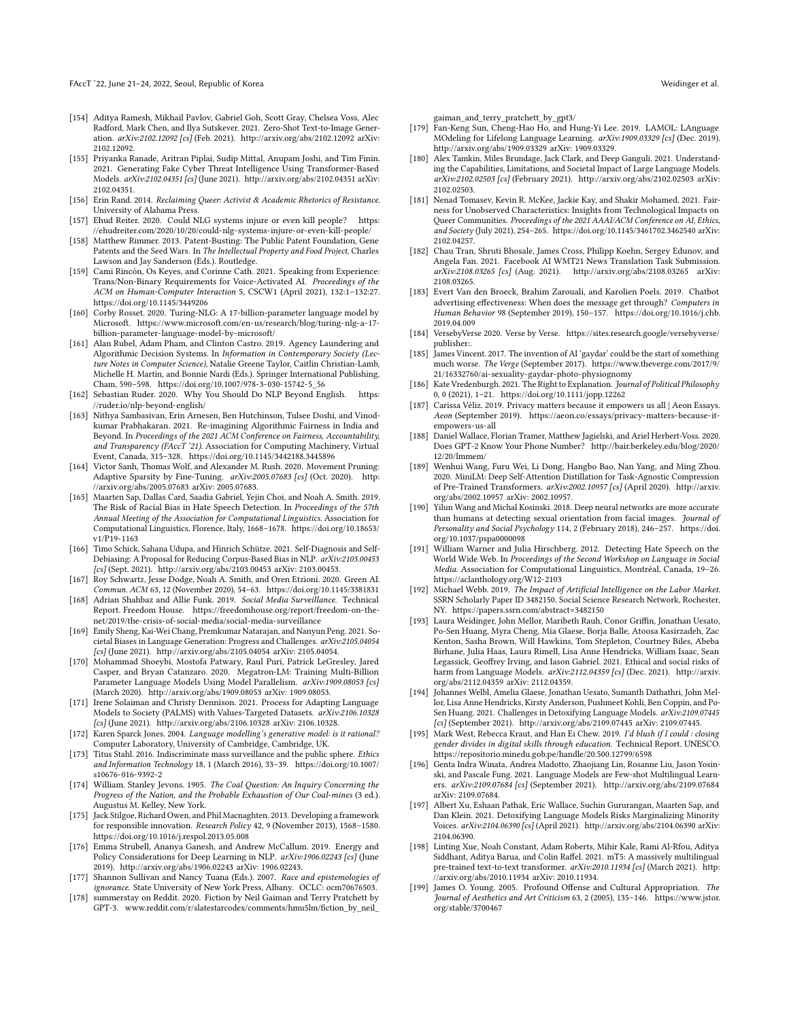FAccT '22, June 21-24, 2022, Seoul, Republic of Korea Weidinger et al.

- <span id="page-13-7"></span>[154] Aditya Ramesh, Mikhail Pavlov, Gabriel Goh, Scott Gray, Chelsea Voss, Alec Radford, Mark Chen, and Ilya Sutskever. 2021. Zero-Shot Text-to-Image Generation. arXiv:2102.12092 [cs] (Feb. 2021).<http://arxiv.org/abs/2102.12092> arXiv: 2102.12092.
- <span id="page-13-30"></span>[155] Priyanka Ranade, Aritran Piplai, Sudip Mittal, Anupam Joshi, and Tim Finin. 2021. Generating Fake Cyber Threat Intelligence Using Transformer-Based Models. arXiv:2102.04351 [cs] (June 2021).<http://arxiv.org/abs/2102.04351> arXiv: 2102.04351.
- <span id="page-13-17"></span>[156] Erin Rand. 2014. Reclaiming Queer: Activist & Academic Rhetorics of Resistance. University of Alabama Press.
- <span id="page-13-29"></span>[157] Ehud Reiter. 2020. Could NLG systems injure or even kill people? [https:](https://ehudreiter.com/2020/10/20/could-nlg-systems-injure-or-even-kill-people/) [//ehudreiter.com/2020/10/20/could-nlg-systems-injure-or-even-kill-people/](https://ehudreiter.com/2020/10/20/could-nlg-systems-injure-or-even-kill-people/)
- <span id="page-13-41"></span>[158] Matthew Rimmer. 2013. Patent-Busting: The Public Patent Foundation, Gene Patents and the Seed Wars. In The Intellectual Property and Food Project, Charles Lawson and Jay Sanderson (Eds.). Routledge.
- <span id="page-13-16"></span>[159] Cami Rincón, Os Keyes, and Corinne Cath. 2021. Speaking from Experience: Trans/Non-Binary Requirements for Voice-Activated AI. Proceedings of the ACM on Human-Computer Interaction 5, CSCW1 (April 2021), 132:1–132:27. <https://doi.org/10.1145/3449206>
- <span id="page-13-20"></span>[160] Corby Rosset. 2020. Turing-NLG: A 17-billion-parameter language model by Microsoft. [https://www.microsoft.com/en-us/research/blog/turing-nlg-a-17](https://www.microsoft.com/en-us/research/blog/turing-nlg-a-17-billion-parameter-language-model-by-microsoft/) [billion-parameter-language-model-by-microsoft/](https://www.microsoft.com/en-us/research/blog/turing-nlg-a-17-billion-parameter-language-model-by-microsoft/)
- <span id="page-13-35"></span>[161] Alan Rubel, Adam Pham, and Clinton Castro. 2019. Agency Laundering and Algorithmic Decision Systems. In Information in Contemporary Society (Lecture Notes in Computer Science), Natalie Greene Taylor, Caitlin Christian-Lamb, Michelle H. Martin, and Bonnie Nardi (Eds.). Springer International Publishing, Cham, 590–598. [https://doi.org/10.1007/978-3-030-15742-5\\_56](https://doi.org/10.1007/978-3-030-15742-5_56)
- <span id="page-13-19"></span>[162] Sebastian Ruder. 2020. Why You Should Do NLP Beyond English. [https:](https://ruder.io/nlp-beyond-english/) [//ruder.io/nlp-beyond-english/](https://ruder.io/nlp-beyond-english/)
- <span id="page-13-10"></span>[163] Nithya Sambasivan, Erin Arnesen, Ben Hutchinson, Tulsee Doshi, and Vinodkumar Prabhakaran. 2021. Re-imagining Algorithmic Fairness in India and Beyond. In Proceedings of the 2021 ACM Conference on Fairness, Accountability, and Transparency (FAccT '21). Association for Computing Machinery, Virtual Event, Canada, 315–328.<https://doi.org/10.1145/3442188.3445896>
- <span id="page-13-37"></span>[164] Victor Sanh, Thomas Wolf, and Alexander M. Rush. 2020. Movement Pruning: Adaptive Sparsity by Fine-Tuning. *arXiv:2005.07683 [cs]* (Oct. 2020). [http:](http://arxiv.org/abs/2005.07683)<br>[//arxiv.org/abs/2005.07683](http://arxiv.org/abs/2005.07683) arXiv: 2005.07683.
- <span id="page-13-15"></span>[165] Maarten Sap, Dallas Card, Saadia Gabriel, Yejin Choi, and Noah A. Smith. 2019. The Risk of Racial Bias in Hate Speech Detection. In Proceedings of the 57th Annual Meeting of the Association for Computational Linguistics. Association for Computational Linguistics, Florence, Italy, 1668–1678. [https://doi.org/10.18653/](https://doi.org/10.18653/v1/P19-1163) [v1/P19-1163](https://doi.org/10.18653/v1/P19-1163)
- <span id="page-13-14"></span>[166] Timo Schick, Sahana Udupa, and Hinrich Schütze. 2021. Self-Diagnosis and Self-Debiasing: A Proposal for Reducing Corpus-Based Bias in NLP. arXiv:2103.00453 [cs] (Sept. 2021).<http://arxiv.org/abs/2103.00453> arXiv: 2103.00453.
- <span id="page-13-5"></span>[167] Roy Schwartz, Jesse Dodge, Noah A. Smith, and Oren Etzioni. 2020. Green AI. Commun. ACM 63, 12 (November 2020), 54–63.<https://doi.org/10.1145/3381831>
- <span id="page-13-31"></span>[168] Adrian Shahbaz and Allie Funk. 2019. Social Media Surveillance. Technical Report. Freedom House. [https://freedomhouse.org/report/freedom-on-the](https://freedomhouse.org/report/freedom-on-the-net/2019/the-crisis-of-social-media/social-media-surveillance)[net/2019/the-crisis-of-social-media/social-media-surveillance](https://freedomhouse.org/report/freedom-on-the-net/2019/the-crisis-of-social-media/social-media-surveillance)
- <span id="page-13-45"></span>[169] Emily Sheng, Kai-Wei Chang, Premkumar Natarajan, and Nanyun Peng. 2021. Societal Biases in Language Generation: Progress and Challenges. arXiv:2105.04054 [cs] (June 2021).<http://arxiv.org/abs/2105.04054> arXiv: 2105.04054.
- <span id="page-13-0"></span>[170] Mohammad Shoeybi, Mostofa Patwary, Raul Puri, Patrick LeGresley, Jared Casper, and Bryan Catanzaro. 2020. Megatron-LM: Training Multi-Billion Parameter Language Models Using Model Parallelism. arXiv:1909.08053 [cs] (March 2020).<http://arxiv.org/abs/1909.08053> arXiv: 1909.08053.
- <span id="page-13-3"></span>[171] Irene Solaiman and Christy Dennison. 2021. Process for Adapting Language Models to Society (PALMS) with Values-Targeted Datasets. arXiv:2106.10328 [cs] (June 2021).<http://arxiv.org/abs/2106.10328> arXiv: 2106.10328.
- <span id="page-13-28"></span>[172] Karen Sparck Jones. 2004. Language modelling's generative model: is it rational? Computer Laboratory, University of Cambridge, Cambridge, UK.
- <span id="page-13-32"></span>[173] Titus Stahl. 2016. Indiscriminate mass surveillance and the public sphere. Ethics and Information Technology 18, 1 (March 2016), 33–39. [https://doi.org/10.1007/](https://doi.org/10.1007/s10676-016-9392-2) [s10676-016-9392-2](https://doi.org/10.1007/s10676-016-9392-2)
- <span id="page-13-39"></span>[174] William. Stanley Jevons. 1905. The Coal Question: An Inquiry Concerning the Progress of the Nation, and the Probable Exhaustion of Our Coal-mines (3 ed.). Augustus M. Kelley, New York.
- <span id="page-13-1"></span>[175] Jack Stilgoe, Richard Owen, and Phil Macnaghten. 2013. Developing a framework for responsible innovation. Research Policy 42, 9 (November 2013), 1568–1580. <https://doi.org/10.1016/j.respol.2013.05.008>
- <span id="page-13-6"></span>[176] Emma Strubell, Ananya Ganesh, and Andrew McCallum. 2019. Energy and Policy Considerations for Deep Learning in NLP. arXiv:1906.02243 [cs] (June 2019).<http://arxiv.org/abs/1906.02243> arXiv: 1906.02243.
- <span id="page-13-11"></span>[177] Shannon Sullivan and Nancy Tuana (Eds.). 2007. Race and epistemologies of ignorance. State University of New York Press, Albany. OCLC: ocm70676503.
- <span id="page-13-42"></span>[178] summerstay on Reddit. 2020. Fiction by Neil Gaiman and Terry Pratchett by GPT-3. [www.reddit.com/r/slatestarcodex/comments/hmu5lm/fiction\\_by\\_neil\\_](www.reddit.com/r/slatestarcodex/comments/hmu5lm/fiction_by_neil_gaiman_and_terry_pratchett_by_gpt3/)

[gaiman\\_and\\_terry\\_pratchett\\_by\\_gpt3/](www.reddit.com/r/slatestarcodex/comments/hmu5lm/fiction_by_neil_gaiman_and_terry_pratchett_by_gpt3/)

- <span id="page-13-18"></span>[179] Fan-Keng Sun, Cheng-Hao Ho, and Hung-Yi Lee. 2019. LAMOL: LAnguage MOdeling for Lifelong Language Learning. arXiv:1909.03329 [cs] (Dec. 2019). <http://arxiv.org/abs/1909.03329> arXiv: 1909.03329.
- <span id="page-13-2"></span>[180] Alex Tamkin, Miles Brundage, Jack Clark, and Deep Ganguli. 2021. Understanding the Capabilities, Limitations, and Societal Impact of Large Language Models. arXiv:2102.02503 [cs] (February 2021).<http://arxiv.org/abs/2102.02503> arXiv: 2102.02503.
- <span id="page-13-24"></span>[181] Nenad Tomasev, Kevin R. McKee, Jackie Kay, and Shakir Mohamed. 2021. Fairness for Unobserved Characteristics: Insights from Technological Impacts on Queer Communities. Proceedings of the 2021 AAAI/ACM Conference on AI, Ethics, and Society (July 2021), 254–265.<https://doi.org/10.1145/3461702.3462540> arXiv: 2102.04257.
- <span id="page-13-22"></span>[182] Chau Tran, Shruti Bhosale, James Cross, Philipp Koehn, Sergey Edunov, and Angela Fan. 2021. Facebook AI WMT21 News Translation Task Submission. arXiv:2108.03265 [cs] (Aug. 2021).<http://arxiv.org/abs/2108.03265> arXiv: 2108.03265.
- <span id="page-13-36"></span>[183] Evert Van den Broeck, Brahim Zarouali, and Karolien Poels. 2019. Chatbot advertising effectiveness: When does the message get through? Computers in Human Behavior 98 (September 2019), 150–157. [https://doi.org/10.1016/j.chb.](https://doi.org/10.1016/j.chb.2019.04.009) [2019.04.009](https://doi.org/10.1016/j.chb.2019.04.009)
- <span id="page-13-43"></span>[184] VersebyVerse 2020. Verse by Verse.<https://sites.research.google/versebyverse/> publisher:.
- <span id="page-13-26"></span>[185] James Vincent. 2017. The invention of AI 'gaydar' could be the start of something much worse. The Verge (September 2017). [https://www.theverge.com/2017/9/](https://www.theverge.com/2017/9/21/16332760/ai-sexuality-gaydar-photo-physiognomy) [21/16332760/ai-sexuality-gaydar-photo-physiognomy](https://www.theverge.com/2017/9/21/16332760/ai-sexuality-gaydar-photo-physiognomy) [186] Kate Vredenburgh. 2021. The Right to Explanation. Journal of Political Philosophy
- <span id="page-13-9"></span>0, 0 (2021), 1–21.<https://doi.org/10.1111/jopp.12262>
- <span id="page-13-33"></span>[187] Carissa Véliz. 2019. Privacy matters because it empowers us all | Aeon Essays. Aeon (September 2019). [https://aeon.co/essays/privacy-matters-because-it](https://aeon.co/essays/privacy-matters-because-it-empowers-us-all)[empowers-us-all](https://aeon.co/essays/privacy-matters-because-it-empowers-us-all)
- <span id="page-13-25"></span>[188] Daniel Wallace, Florian Tramer, Matthew Jagielski, and Ariel Herbert-Voss. 2020. Does GPT-2 Know Your Phone Number? [http://bair.berkeley.edu/blog/2020/](http://bair.berkeley.edu/blog/2020/12/20/lmmem/) [12/20/lmmem/](http://bair.berkeley.edu/blog/2020/12/20/lmmem/)
- <span id="page-13-38"></span>[189] Wenhui Wang, Furu Wei, Li Dong, Hangbo Bao, Nan Yang, and Ming Zhou. 2020. MiniLM: Deep Self-Attention Distillation for Task-Agnostic Compression of Pre-Trained Transformers. arXiv:2002.10957 [cs] (April 2020). [http://arxiv.](http://arxiv.org/abs/2002.10957) [org/abs/2002.10957](http://arxiv.org/abs/2002.10957) arXiv: 2002.10957.
- <span id="page-13-27"></span>[190] Yilun Wang and Michal Kosinski. 2018. Deep neural networks are more accurate than humans at detecting sexual orientation from facial images. Journal of Personality and Social Psychology 114, 2 (February 2018), 246–257. [https://doi.](https://doi.org/10.1037/pspa0000098) [org/10.1037/pspa0000098](https://doi.org/10.1037/pspa0000098)
- <span id="page-13-12"></span>[191] William Warner and Julia Hirschberg. 2012. Detecting Hate Speech on the World Wide Web. In Proceedings of the Second Workshop on Language in Social Media. Association for Computational Linguistics, Montréal, Canada, 19–26. <https://aclanthology.org/W12-2103>
- <span id="page-13-40"></span>[192] Michael Webb. 2019. The Impact of Artificial Intelligence on the Labor Market. SSRN Scholarly Paper ID 3482150. Social Science Research Network, Rochester, NY.<https://papers.ssrn.com/abstract=3482150>
- <span id="page-13-44"></span>[193] Laura Weidinger, John Mellor, Maribeth Rauh, Conor Griffin, Jonathan Uesato, Po-Sen Huang, Myra Cheng, Mia Glaese, Borja Balle, Atoosa Kasirzadeh, Zac Kenton, Sasha Brown, Will Hawkins, Tom Stepleton, Courtney Biles, Abeba Birhane, Julia Haas, Laura Rimell, Lisa Anne Hendricks, William Isaac, Sean Legassick, Geoffrey Irving, and Iason Gabriel. 2021. Ethical and social risks of harm from Language Models. arXiv:2112.04359 [cs] (Dec. 2021). [http://arxiv.](http://arxiv.org/abs/2112.04359) [org/abs/2112.04359](http://arxiv.org/abs/2112.04359) arXiv: 2112.04359.
- <span id="page-13-4"></span>[194] Johannes Welbl, Amelia Glaese, Jonathan Uesato, Sumanth Dathathri, John Mellor, Lisa Anne Hendricks, Kirsty Anderson, Pushmeet Kohli, Ben Coppin, and Po-Sen Huang. 2021. Challenges in Detoxifying Language Models. arXiv:2109.07445 [cs] (September 2021).<http://arxiv.org/abs/2109.07445> arXiv: 2109.07445.
- <span id="page-13-34"></span>[195] Mark West, Rebecca Kraut, and Han Ei Chew. 2019. I'd blush if I could : closing gender divides in digital skills through education. Technical Report. UNESCO. <https://repositorio.minedu.gob.pe/handle/20.500.12799/6598>
- <span id="page-13-21"></span>[196] Genta Indra Winata, Andrea Madotto, Zhaojiang Lin, Rosanne Liu, Jason Yosinski, and Pascale Fung. 2021. Language Models are Few-shot Multilingual Learners. arXiv:2109.07684 [cs] (September 2021).<http://arxiv.org/abs/2109.07684> arXiv: 2109.07684.
- <span id="page-13-13"></span>[197] Albert Xu, Eshaan Pathak, Eric Wallace, Suchin Gururangan, Maarten Sap, and Dan Klein. 2021. Detoxifying Language Models Risks Marginalizing Minority Voices. arXiv:2104.06390 [cs] (April 2021).<http://arxiv.org/abs/2104.06390> arXiv: 2104.06390.
- <span id="page-13-23"></span>[198] Linting Xue, Noah Constant, Adam Roberts, Mihir Kale, Rami Al-Rfou, Aditya Siddhant, Aditya Barua, and Colin Raffel. 2021. mT5: A massively multilingual pre-trained text-to-text transformer. arXiv:2010.11934 [cs] (March 2021). [http:](http://arxiv.org/abs/2010.11934) [//arxiv.org/abs/2010.11934](http://arxiv.org/abs/2010.11934) arXiv: 2010.11934.
- <span id="page-13-8"></span>[199] James O. Young. 2005. Profound Offense and Cultural Appropriation. The Journal of Aesthetics and Art Criticism 63, 2 (2005), 135–146. [https://www.jstor.](https://www.jstor.org/stable/3700467) [org/stable/3700467](https://www.jstor.org/stable/3700467)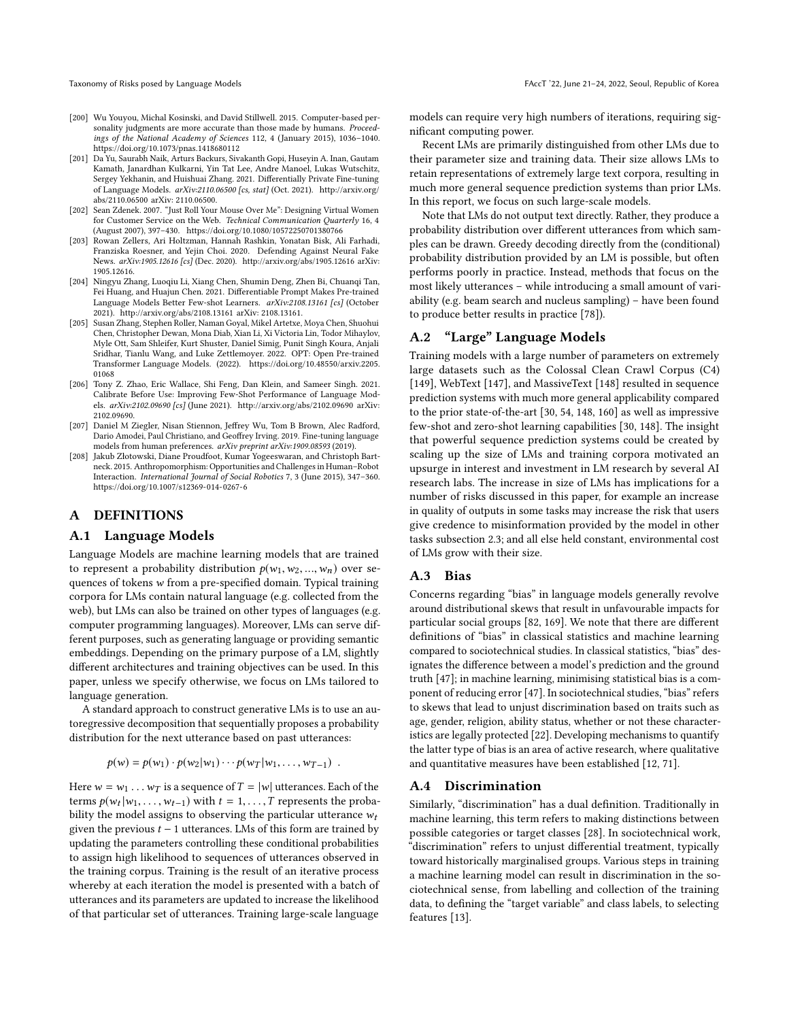- <span id="page-14-6"></span>[200] Wu Youyou, Michal Kosinski, and David Stillwell. 2015. Computer-based personality judgments are more accurate than those made by humans. Proceedings of the National Academy of Sciences 112, 4 (January 2015), 1036–1040. <https://doi.org/10.1073/pnas.1418680112>
- <span id="page-14-5"></span>[201] Da Yu, Saurabh Naik, Arturs Backurs, Sivakanth Gopi, Huseyin A. Inan, Gautam Kamath, Janardhan Kulkarni, Yin Tat Lee, Andre Manoel, Lukas Wutschitz, Sergey Yekhanin, and Huishuai Zhang. 2021. Differentially Private Fine-tuning of Language Models. arXiv:2110.06500 [cs, stat] (Oct. 2021). [http://arxiv.org/](http://arxiv.org/abs/2110.06500) [abs/2110.06500](http://arxiv.org/abs/2110.06500) arXiv: 2110.06500.
- <span id="page-14-8"></span>[202] Sean Zdenek. 2007. "Just Roll Your Mouse Over Me": Designing Virtual Women for Customer Service on the Web. Technical Communication Quarterly 16, 4 (August 2007), 397–430.<https://doi.org/10.1080/10572250701380766>
- <span id="page-14-7"></span>[203] Rowan Zellers, Ari Holtzman, Hannah Rashkin, Yonatan Bisk, Ali Farhadi, Franziska Roesner, and Yejin Choi. 2020. Defending Against Neural Fake News. arXiv:1905.12616 [cs] (Dec. 2020).<http://arxiv.org/abs/1905.12616> arXiv: 1905.12616.
- <span id="page-14-2"></span>[204] Ningyu Zhang, Luoqiu Li, Xiang Chen, Shumin Deng, Zhen Bi, Chuanqi Tan, Fei Huang, and Huajun Chen. 2021. Differentiable Prompt Makes Pre-trained Language Models Better Few-shot Learners. arXiv:2108.13161 [cs] (October 2021).<http://arxiv.org/abs/2108.13161> arXiv: 2108.13161.
- <span id="page-14-1"></span>[205] Susan Zhang, Stephen Roller, Naman Goyal, Mikel Artetxe, Moya Chen, Shuohui Chen, Christopher Dewan, Mona Diab, Xian Li, Xi Victoria Lin, Todor Mihaylov, Myle Ott, Sam Shleifer, Kurt Shuster, Daniel Simig, Punit Singh Koura, Anjali Sridhar, Tianlu Wang, and Luke Zettlemoyer. 2022. OPT: Open Pre-trained Transformer Language Models. (2022). [https://doi.org/10.48550/arxiv.2205.](https://doi.org/10.48550/arxiv.2205.01068) [01068](https://doi.org/10.48550/arxiv.2205.01068)
- <span id="page-14-4"></span>[206] Tony Z. Zhao, Eric Wallace, Shi Feng, Dan Klein, and Sameer Singh. 2021. Calibrate Before Use: Improving Few-Shot Performance of Language Models. arXiv:2102.09690 [cs] (June 2021).<http://arxiv.org/abs/2102.09690> arXiv: 2102.09690.
- <span id="page-14-0"></span>[207] Daniel M Ziegler, Nisan Stiennon, Jeffrey Wu, Tom B Brown, Alec Radford, Dario Amodei, Paul Christiano, and Geoffrey Irving. 2019. Fine-tuning language models from human preferences. arXiv preprint arXiv:1909.08593 (2019).
- <span id="page-14-9"></span>[208] Jakub Złotowski, Diane Proudfoot, Kumar Yogeeswaran, and Christoph Bartneck. 2015. Anthropomorphism: Opportunities and Challenges in Human–Robot Interaction. International Journal of Social Robotics 7, 3 (June 2015), 347–360. <https://doi.org/10.1007/s12369-014-0267-6>

# <span id="page-14-3"></span>A DEFINITIONS

### A.1 Language Models

Language Models are machine learning models that are trained to represent a probability distribution  $p(w_1, w_2, ..., w_n)$  over sequences of tokens w from a pre-specified domain. Typical training corpora for LMs contain natural language (e.g. collected from the web), but LMs can also be trained on other types of languages (e.g. computer programming languages). Moreover, LMs can serve different purposes, such as generating language or providing semantic embeddings. Depending on the primary purpose of a LM, slightly different architectures and training objectives can be used. In this paper, unless we specify otherwise, we focus on LMs tailored to language generation.

A standard approach to construct generative LMs is to use an autoregressive decomposition that sequentially proposes a probability distribution for the next utterance based on past utterances:

$$
p(w) = p(w_1) \cdot p(w_2|w_1) \cdots p(w_T|w_1,\ldots,w_{T-1})
$$

Here  $w = w_1 \dots w_T$  is a sequence of  $T = |w|$  utterances. Each of the terms  $p(w_t|w_1, \ldots, w_{t-1})$  with  $t = 1, \ldots, T$  represents the proba-<br>bility the model assigns to observing the particular utterance  $w_t$ . bility the model assigns to observing the particular utterance  $w_t$ given the previous  $t - 1$  utterances. LMs of this form are trained by updating the parameters controlling these conditional probabilities to assign high likelihood to sequences of utterances observed in the training corpus. Training is the result of an iterative process whereby at each iteration the model is presented with a batch of utterances and its parameters are updated to increase the likelihood of that particular set of utterances. Training large-scale language

models can require very high numbers of iterations, requiring significant computing power.

Recent LMs are primarily distinguished from other LMs due to their parameter size and training data. Their size allows LMs to retain representations of extremely large text corpora, resulting in much more general sequence prediction systems than prior LMs. In this report, we focus on such large-scale models.

Note that LMs do not output text directly. Rather, they produce a probability distribution over different utterances from which samples can be drawn. Greedy decoding directly from the (conditional) probability distribution provided by an LM is possible, but often performs poorly in practice. Instead, methods that focus on the most likely utterances – while introducing a small amount of variability (e.g. beam search and nucleus sampling) – have been found to produce better results in practice [\[78\]](#page-11-41)).

# A.2 "Large" Language Models

Training models with a large number of parameters on extremely large datasets such as the Colossal Clean Crawl Corpus (C4) [\[149\]](#page-12-37), WebText [\[147\]](#page-12-0), and MassiveText [\[148\]](#page-12-1) resulted in sequence prediction systems with much more general applicability compared to the prior state-of-the-art [\[30,](#page-9-0) [54,](#page-10-23) [148,](#page-12-1) [160\]](#page-13-20) as well as impressive few-shot and zero-shot learning capabilities [\[30,](#page-9-0) [148\]](#page-12-1). The insight that powerful sequence prediction systems could be created by scaling up the size of LMs and training corpora motivated an upsurge in interest and investment in LM research by several AI research labs. The increase in size of LMs has implications for a number of risks discussed in this paper, for example an increase in quality of outputs in some tasks may increase the risk that users give credence to misinformation provided by the model in other tasks [subsection 2.3;](#page-4-1) and all else held constant, environmental cost of LMs grow with their size.

### A.3 Bias

Concerns regarding "bias" in language models generally revolve around distributional skews that result in unfavourable impacts for particular social groups [\[82,](#page-11-4) [169\]](#page-13-45). We note that there are different definitions of "bias" in classical statistics and machine learning compared to sociotechnical studies. In classical statistics, "bias" designates the difference between a model's prediction and the ground truth [\[47\]](#page-10-37); in machine learning, minimising statistical bias is a component of reducing error [\[47\]](#page-10-37). In sociotechnical studies, "bias" refers to skews that lead to unjust discrimination based on traits such as age, gender, religion, ability status, whether or not these characteristics are legally protected [\[22\]](#page-9-5). Developing mechanisms to quantify the latter type of bias is an area of active research, where qualitative and quantitative measures have been established [\[12,](#page-9-26) [71\]](#page-10-38).

### A.4 Discrimination

Similarly, "discrimination" has a dual definition. Traditionally in machine learning, this term refers to making distinctions between possible categories or target classes [\[28\]](#page-9-27). In sociotechnical work, "discrimination" refers to unjust differential treatment, typically toward historically marginalised groups. Various steps in training a machine learning model can result in discrimination in the sociotechnical sense, from labelling and collection of the training data, to defining the "target variable" and class labels, to selecting features [\[13\]](#page-9-28).